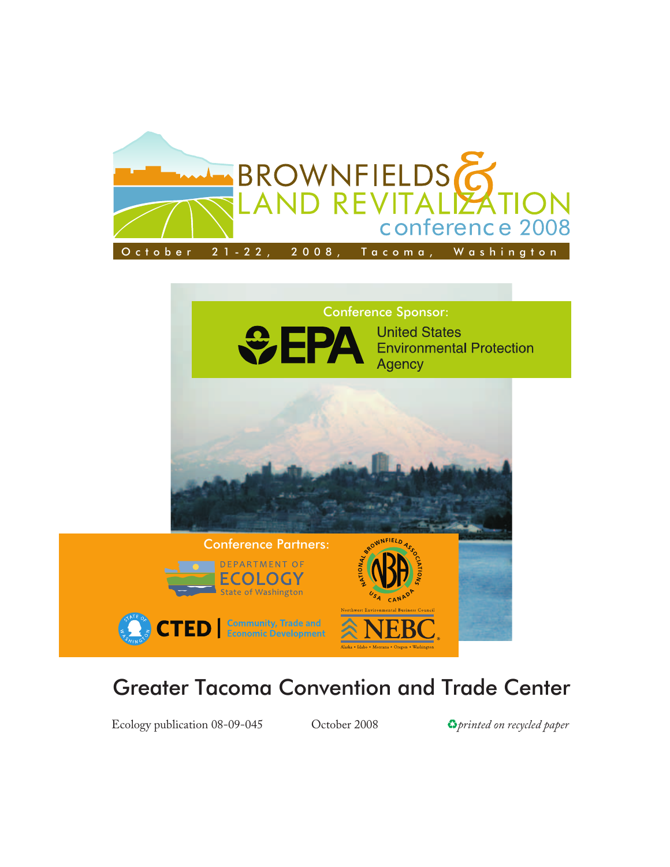

## Conference Sponsor:





## Greater Tacoma Convention and Trade Center

Ecology publication 08-09-045 Cotober 2008 **C***printed on recycled paper*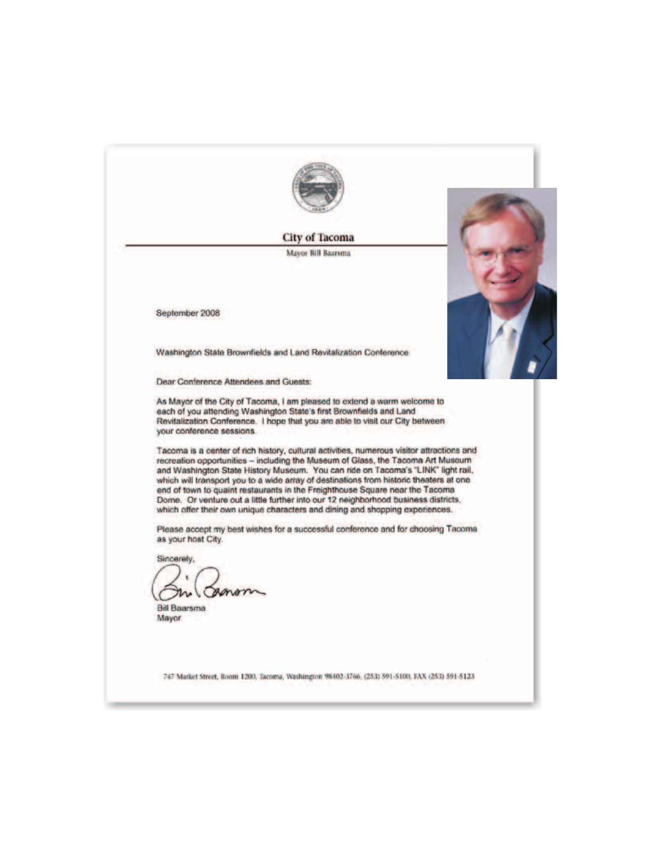

**City of Tacoma** 

**Mayor Bill Baarsma** 



Washington State Brownfields and Land Revitalization Conference

**Dear Conference Attendees and Guests:** 

As Mayor of the City of Tacoma, I am pleased to extend a warm welcome to each of you attending Washington State's first Brownfields and Land Revitalization Conference. I hope that you are able to visit our City between your conference sessions.

Tacoma is a center of rich history, cultural activities, numerous visitor attractions and recreation opportunities - including the Museum of Glass, the Tacoma Art Museum and Washington State History Museum. You can ride on Tacoma's "LINK" light rail. which will transport you to a wide array of destinations from historic theaters at one end of town to quaint restaurants in the Freighthouse Square near the Tacoma Dome. Or venture out a little further into our 12 neighborhood business districts. which offer their own unique characters and dining and shopping experiences.

Please accept my best wishes for a successful conference and for choosing Tacoma as your host City.

Sincerely, m

**Bill Baarsma** Mayor

747 Market Street, Room 1200, Tacoma, Washington 98402-3766, (253) 591-5100, FAX (253) 591-5123

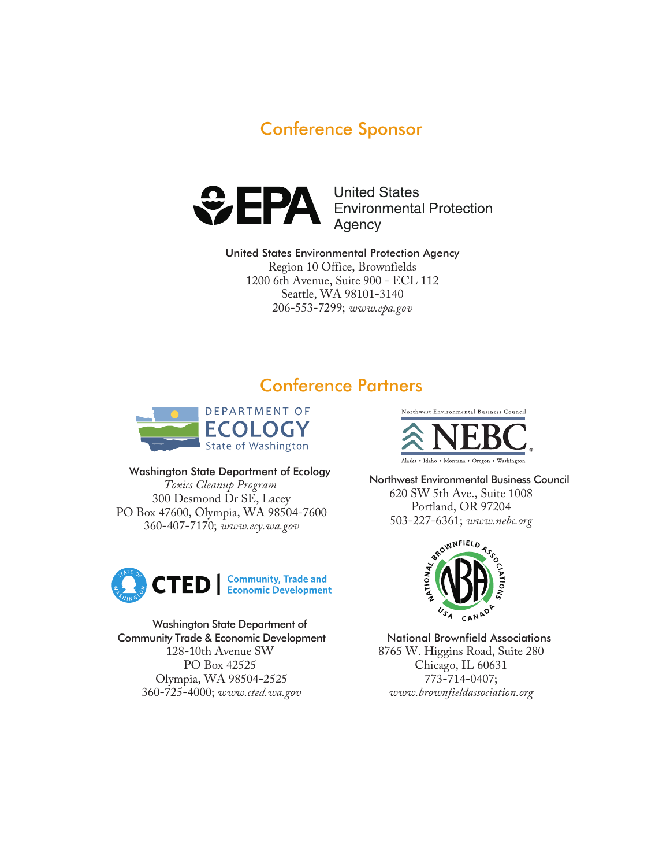



**United States Environmental Protection<br>Agency** 

United States Environmental Protection Agency Region 10 Office, Brownfields 1200 6th Avenue, Suite 900 - ECL 112 Seattle, WA 98101-3140 206-553-7299; *www.epa.gov*

## Conference Partners



Washington State Department of Ecology *Toxics Cleanup Program* 300 Desmond Dr SE, Lacey PO Box 47600, Olympia, WA 98504-7600 360-407-7170; *www.ecy.wa.gov*



#### Washington State Department of Community Trade & Economic Development 128-10th Avenue SW PO Box 42525 Olympia, WA 98504-2525 360-725-4000; *www.cted.wa.gov*



Northwest Environmental Business Council 620 SW 5th Ave., Suite 1008 Portland, OR 97204 503-227-6361; *www.nebc.org*



National Brownfield Associations 8765 W. Higgins Road, Suite 280 Chicago, IL 60631 773-714-0407; *www.brownfieldassociation.org*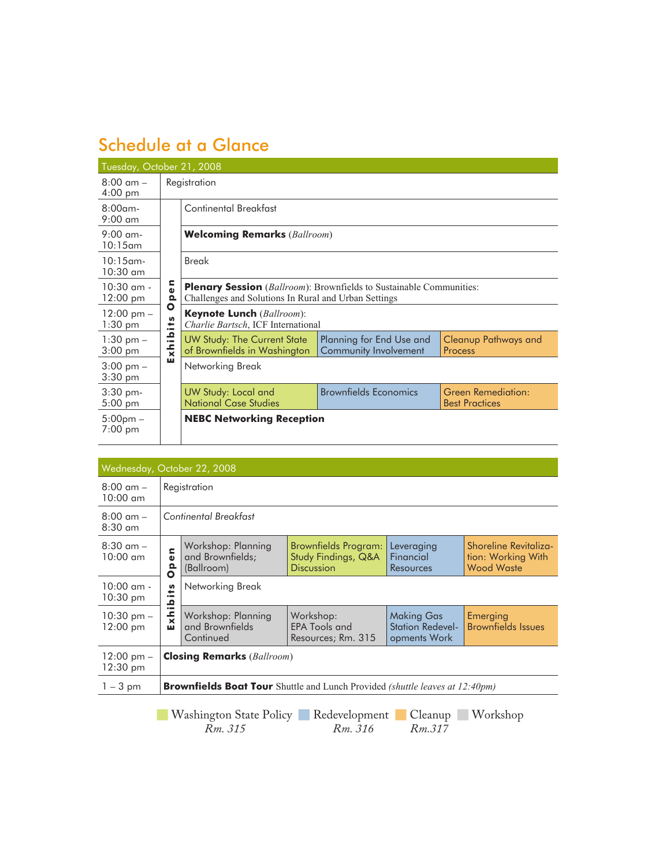## Schedule at a Glance

| Tuesday, October 21, 2008                 |                           |                                                                                                                                             |                                                   |                                             |  |  |  |  |  |
|-------------------------------------------|---------------------------|---------------------------------------------------------------------------------------------------------------------------------------------|---------------------------------------------------|---------------------------------------------|--|--|--|--|--|
| $8:00 \text{ am } -$<br>$4:00 \text{ pm}$ |                           | Registration                                                                                                                                |                                                   |                                             |  |  |  |  |  |
| $8:00$ am-<br>$9:00 \text{ cm}$           |                           | Continental Breakfast                                                                                                                       |                                                   |                                             |  |  |  |  |  |
| $9:00$ am-<br>$10:15$ am                  |                           | <b>Welcoming Remarks</b> (Ballroom)                                                                                                         |                                                   |                                             |  |  |  |  |  |
| $10:15$ am-<br>$10:30$ am                 |                           | <b>Break</b>                                                                                                                                |                                                   |                                             |  |  |  |  |  |
| $10:30$ am -<br>$12:00 \text{ pm}$        | ς<br>ω<br>௨               | <b>Plenary Session</b> ( <i>Ballroom</i> ): Brownfields to Sustainable Communities:<br>Challenges and Solutions In Rural and Urban Settings |                                                   |                                             |  |  |  |  |  |
| $12:00 \text{ pm} -$<br>$1:30$ pm         | O<br><b>S</b><br>≔        | <b>Keynote Lunch</b> (Ballroom):<br>Charlie Bartsch, ICF International                                                                      |                                                   |                                             |  |  |  |  |  |
| $1:30$ pm $-$<br>$3:00$ pm                | <u>م</u><br>$\frac{1}{x}$ | <b>UW Study: The Current State</b><br>of Brownfields in Washington                                                                          | Planning for End Use and<br>Community Involvement | Cleanup Pathways and<br>Process             |  |  |  |  |  |
| $3:00 \text{ pm} -$<br>$3:30$ pm          | ш                         | Networking Break                                                                                                                            |                                                   |                                             |  |  |  |  |  |
| 3:30 pm-<br>$5:00 \text{ pm}$             |                           | <b>UW Study: Local and</b><br><b>National Case Studies</b>                                                                                  | <b>Brownfields Economics</b>                      | Green Remediation:<br><b>Best Practices</b> |  |  |  |  |  |
| $5:00 \text{pm} -$<br>7:00 pm             |                           | <b>NEBC Networking Reception</b>                                                                                                            |                                                   |                                             |  |  |  |  |  |

| Wednesday, October 22, 2008                 |                                                                                            |                                                      |                                                                  |                                                              |                                                                  |  |  |  |
|---------------------------------------------|--------------------------------------------------------------------------------------------|------------------------------------------------------|------------------------------------------------------------------|--------------------------------------------------------------|------------------------------------------------------------------|--|--|--|
| $8:00 \, \text{am} -$<br>$10:00 \text{ cm}$ | Registration                                                                               |                                                      |                                                                  |                                                              |                                                                  |  |  |  |
| $8:00 \, \text{am} -$<br>$8:30$ am          | Continental Breakfast                                                                      |                                                      |                                                                  |                                                              |                                                                  |  |  |  |
| $8:30$ am $-$<br>$10:00 \text{ cm}$         | c<br>$\mathbf{v}$<br>ჲ<br>O                                                                | Workshop: Planning<br>and Brownfields;<br>(Ballroom) | Brownfields Program:<br>Study Findings, Q&A<br><b>Discussion</b> | Leveraging<br>Financial<br>Resources                         | Shoreline Revitaliza-<br>tion: Working With<br><b>Wood Waste</b> |  |  |  |
| $10:00$ am -<br>$10:30 \text{ pm}$          | Networking Break<br>S<br>÷<br>$\bullet$<br>≏                                               |                                                      |                                                                  |                                                              |                                                                  |  |  |  |
| $10:30$ pm $-$<br>$12:00 \text{ pm}$        | $\bullet$ $\blacksquare$<br>$\frac{1}{x}$<br>ш                                             | Workshop: Planning<br>and Brownfields<br>Continued   | Workshop:<br><b>EPA Tools and</b><br>Resources; Rm. 315          | <b>Making Gas</b><br><b>Station Redevel-</b><br>opments Work | Emerging<br><b>Brownfields Issues</b>                            |  |  |  |
| $12:00 \text{ pm} -$<br>$12:30 \text{ pm}$  | <b>Closing Remarks</b> (Ballroom)                                                          |                                                      |                                                                  |                                                              |                                                                  |  |  |  |
| $1 - 3$ pm                                  | <b>Brownfields Boat Tour</b> Shuttle and Lunch Provided <i>(shuttle leaves at 12:40pm)</i> |                                                      |                                                                  |                                                              |                                                                  |  |  |  |

**Washington State Policy Redevelopment Cleanup Workshop** *Rm. 315 Rm. 316 Rm.317*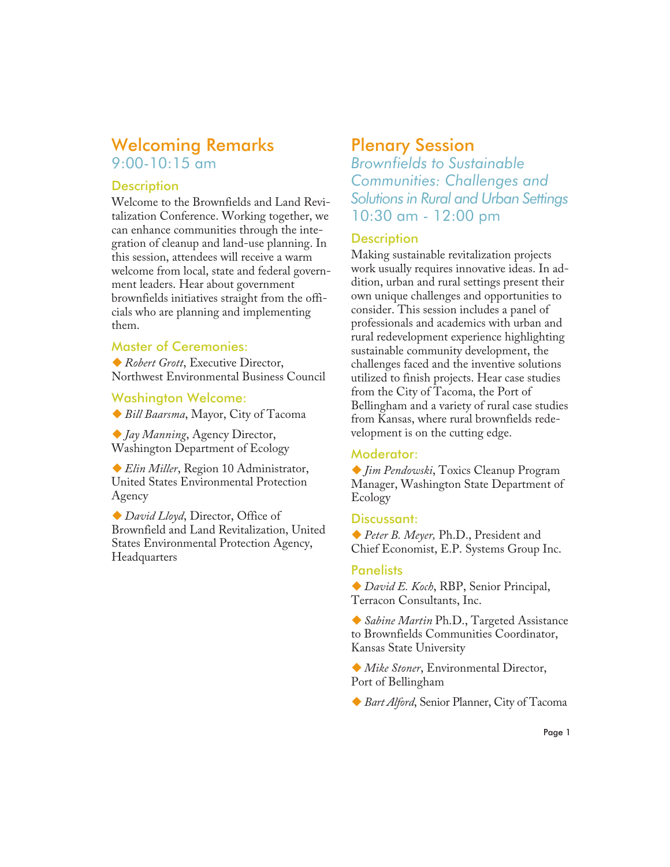## Welcoming Remarks 9:00-10:15 am

#### **Description**

Welcome to the Brownfields and Land Revitalization Conference. Working together, we can enhance communities through the integration of cleanup and land-use planning. In this session, attendees will receive a warm welcome from local, state and federal government leaders. Hear about government brownfields initiatives straight from the officials who are planning and implementing them.

#### Master of Ceremonies:

-*Robert Grott*, Executive Director, Northwest Environmental Business Council

Washington Welcome:

-*Bill Baarsma*, Mayor, City of Tacoma

-*Jay Manning*, Agency Director, Washington Department of Ecology

-*Elin Miller*, Region 10 Administrator, United States Environmental Protection Agency

-*David Lloyd*, Director, Office of Brownfield and Land Revitalization, United States Environmental Protection Agency, Headquarters

## Plenary Session

*Brownfields to Sustainable Communities: Challenges and Solutions in Rural and Urban Settings* 10:30 am - 12:00 pm

#### **Description**

Making sustainable revitalization projects work usually requires innovative ideas. In addition, urban and rural settings present their own unique challenges and opportunities to consider. This session includes a panel of professionals and academics with urban and rural redevelopment experience highlighting sustainable community development, the challenges faced and the inventive solutions utilized to finish projects. Hear case studies from the City of Tacoma, the Port of Bellingham and a variety of rural case studies from Kansas, where rural brownfields redevelopment is on the cutting edge.

#### Moderator:

-*Jim Pendowski*, Toxics Cleanup Program Manager, Washington State Department of Ecology

#### Discussant:

-*Peter B. Meyer,* Ph.D., President and Chief Economist, E.P. Systems Group Inc.

#### **Panelists**

-*David E. Koch*, RBP, Senior Principal, Terracon Consultants, Inc.

-*Sabine Martin* Ph.D., Targeted Assistance to Brownfields Communities Coordinator, Kansas State University

-*Mike Stoner*, Environmental Director, Port of Bellingham

-*Bart Alford*, Senior Planner, City of Tacoma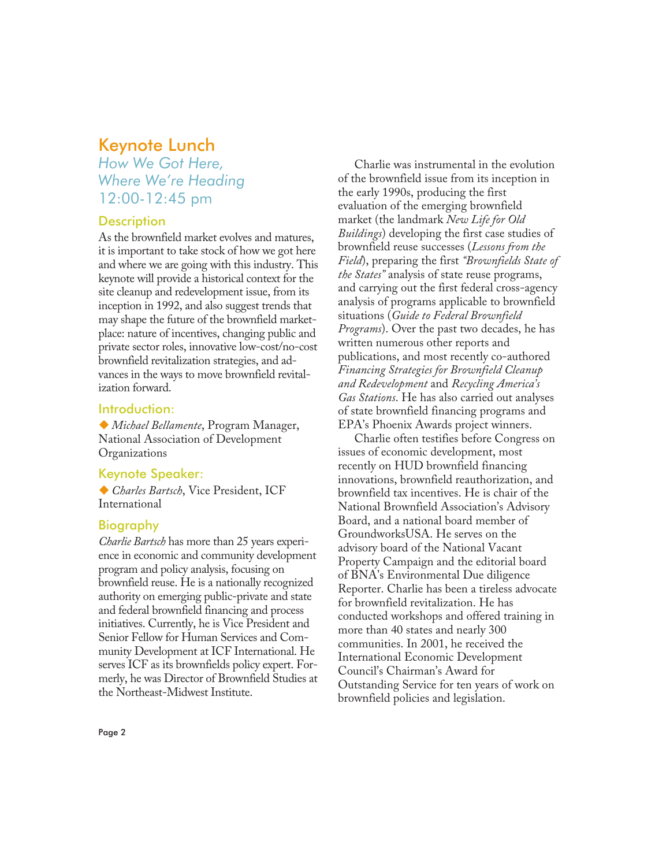## Keynote Lunch

## *How We Got Here, Where We're Heading* 12:00-12:45 pm

#### **Description**

As the brownfield market evolves and matures, it is important to take stock of how we got here and where we are going with this industry. This keynote will provide a historical context for the site cleanup and redevelopment issue, from its inception in 1992, and also suggest trends that may shape the future of the brownfield marketplace: nature of incentives, changing public and private sector roles, innovative low-cost/no-cost brownfield revitalization strategies, and advances in the ways to move brownfield revitalization forward.

#### Introduction:

-*Michael Bellamente*, Program Manager, National Association of Development Organizations

#### Keynote Speaker:

-*Charles Bartsch*, Vice President, ICF International

#### Biography

*Charlie Bartsch* has more than 25 years experience in economic and community development program and policy analysis, focusing on brownfield reuse. He is a nationally recognized authority on emerging public-private and state and federal brownfield financing and process initiatives. Currently, he is Vice President and Senior Fellow for Human Services and Community Development at ICF International. He serves ICF as its brownfields policy expert. Formerly, he was Director of Brownfield Studies at the Northeast-Midwest Institute.

Charlie was instrumental in the evolution of the brownfield issue from its inception in the early 1990s, producing the first evaluation of the emerging brownfield market (the landmark *New Life for Old Buildings*) developing the first case studies of brownfield reuse successes (*Lessons from the Field*), preparing the first *"Brownfields State of the States"* analysis of state reuse programs, and carrying out the first federal cross-agency analysis of programs applicable to brownfield situations (*Guide to Federal Brownfield Programs*). Over the past two decades, he has written numerous other reports and publications, and most recently co-authored *Financing Strategies for Brownfield Cleanup and Redevelopment* and *Recycling America's Gas Stations*. He has also carried out analyses of state brownfield financing programs and EPA's Phoenix Awards project winners.

Charlie often testifies before Congress on issues of economic development, most recently on HUD brownfield financing innovations, brownfield reauthorization, and brownfield tax incentives. He is chair of the National Brownfield Association's Advisory Board, and a national board member of GroundworksUSA. He serves on the advisory board of the National Vacant Property Campaign and the editorial board of BNA's Environmental Due diligence Reporter. Charlie has been a tireless advocate for brownfield revitalization. He has conducted workshops and offered training in more than 40 states and nearly 300 communities. In 2001, he received the International Economic Development Council's Chairman's Award for Outstanding Service for ten years of work on brownfield policies and legislation.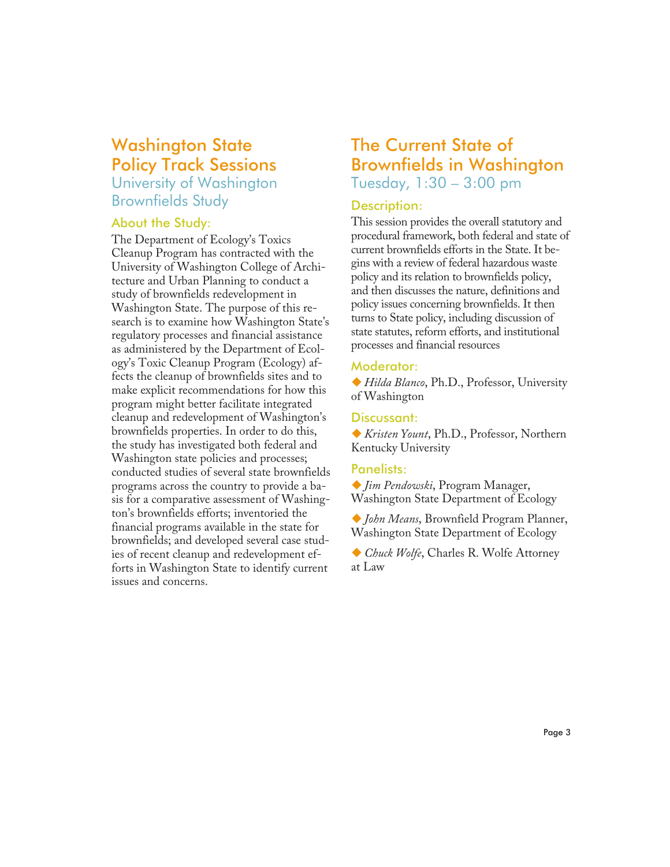## Washington State Policy Track Sessions

University of Washington Brownfields Study

#### About the Study:

The Department of Ecology's Toxics Cleanup Program has contracted with the University of Washington College of Architecture and Urban Planning to conduct a study of brownfields redevelopment in Washington State. The purpose of this research is to examine how Washington State's regulatory processes and financial assistance as administered by the Department of Ecology's Toxic Cleanup Program (Ecology) affects the cleanup of brownfields sites and to make explicit recommendations for how this program might better facilitate integrated cleanup and redevelopment of Washington's brownfields properties. In order to do this, the study has investigated both federal and Washington state policies and processes; conducted studies of several state brownfields programs across the country to provide a basis for a comparative assessment of Washington's brownfields efforts; inventoried the financial programs available in the state for brownfields; and developed several case studies of recent cleanup and redevelopment efforts in Washington State to identify current issues and concerns.

## The Current State of Brownfields in Washington Tuesday, 1:30 – 3:00 pm

#### Description:

This session provides the overall statutory and procedural framework, both federal and state of current brownfields efforts in the State. It begins with a review of federal hazardous waste policy and its relation to brownfields policy, and then discusses the nature, definitions and policy issues concerning brownfields. It then turns to State policy, including discussion of state statutes, reform efforts, and institutional processes and financial resources

#### Moderator:

-*Hilda Blanco*, Ph.D., Professor, University of Washington

#### Discussant:

-*Kristen Yount*, Ph.D., Professor, Northern Kentucky University

#### Panelists:

-*Jim Pendowski*, Program Manager, Washington State Department of Ecology

-*John Means*, Brownfield Program Planner, Washington State Department of Ecology

-*Chuck Wolfe*, Charles R. Wolfe Attorney at Law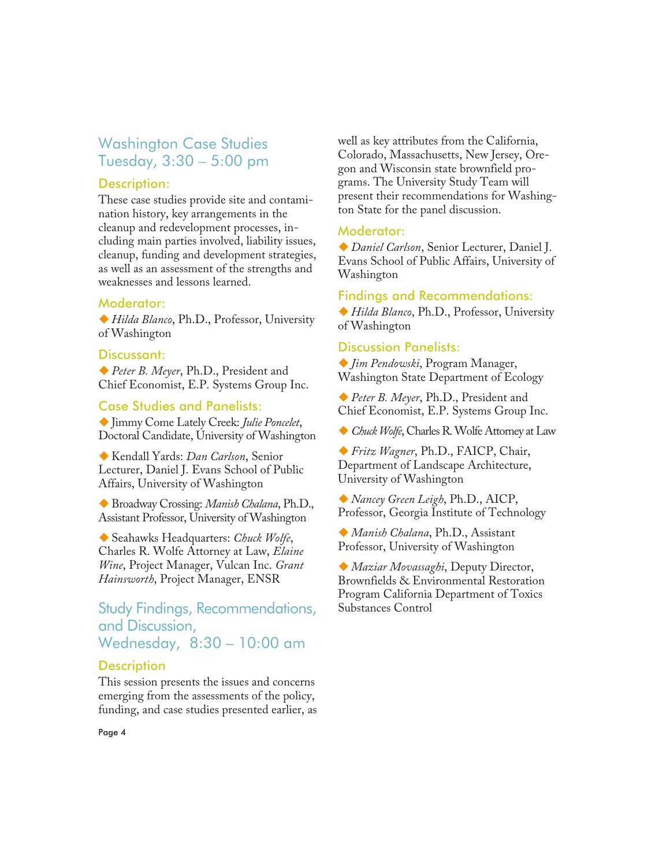## Washington Case Studies Tuesday, 3:30 – 5:00 pm

#### Description:

These case studies provide site and contamination history, key arrangements in the cleanup and redevelopment processes, including main parties involved, liability issues, cleanup, funding and development strategies, as well as an assessment of the strengths and weaknesses and lessons learned.

#### Moderator:

-*Hilda Blanco*, Ph.D., Professor, University of Washington

#### Discussant:

-*Peter B. Meyer*, Ph.D., President and Chief Economist, E.P. Systems Group Inc.

#### Case Studies and Panelists:

-Jimmy Come Lately Creek: *Julie Poncelet*, Doctoral Candidate, University of Washington

-Kendall Yards: *Dan Carlson*, Senior Lecturer, Daniel J. Evans School of Public Affairs, University of Washington

-Broadway Crossing: *Manish Chalana*, Ph.D., Assistant Professor, University of Washington

-Seahawks Headquarters: *Chuck Wolfe*, Charles R. Wolfe Attorney at Law, *Elaine Wine*, Project Manager, Vulcan Inc. *Grant Hainsworth*, Project Manager, ENSR

## Study Findings, Recommendations, and Discussion, Wednesday, 8:30 – 10:00 am

#### **Description**

This session presents the issues and concerns emerging from the assessments of the policy, funding, and case studies presented earlier, as well as key attributes from the California, Colorado, Massachusetts, New Jersey, Oregon and Wisconsin state brownfield programs. The University Study Team will present their recommendations for Washington State for the panel discussion.

#### Moderator:

-*Daniel Carlson*, Senior Lecturer, Daniel J. Evans School of Public Affairs, University of Washington

#### Findings and Recommendations:

-*Hilda Blanco*, Ph.D., Professor, University of Washington

#### Discussion Panelists:

-*Jim Pendowski*, Program Manager, Washington State Department of Ecology

-*Peter B. Meyer*, Ph.D., President and Chief Economist, E.P. Systems Group Inc.

-*Chuck Wolfe*, Charles R. Wolfe Attorney at Law

-*Fritz Wagner*, Ph.D., FAICP, Chair, Department of Landscape Architecture, University of Washington

-*Nancey Green Leigh*, Ph.D., AICP, Professor, Georgia Institute of Technology

-*Manish Chalana*, Ph.D., Assistant Professor, University of Washington

-*Maziar Movassaghi*, Deputy Director, Brownfields & Environmental Restoration Program California Department of Toxics Substances Control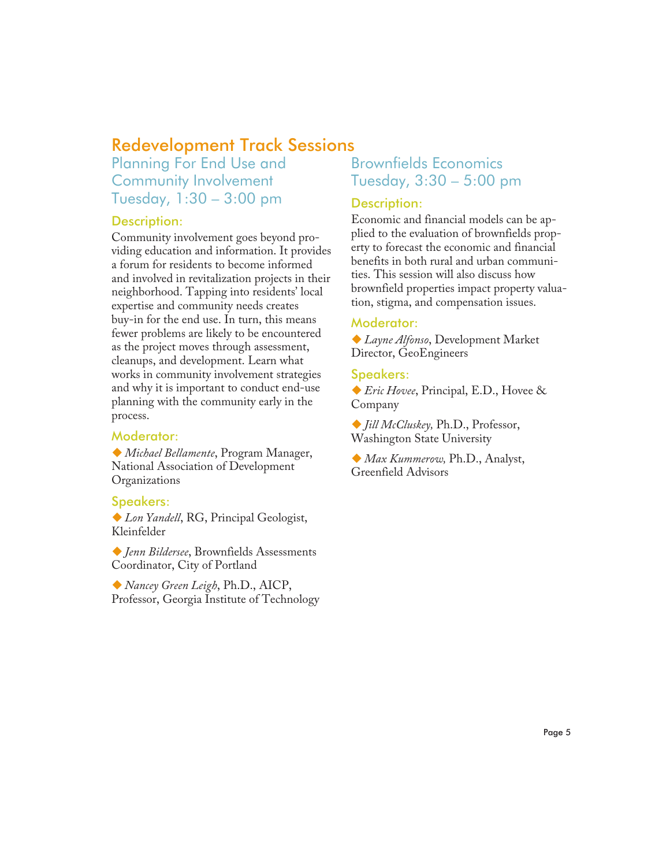## Redevelopment Track Sessions

Planning For End Use and Community Involvement Tuesday, 1:30 – 3:00 pm

#### Description:

Community involvement goes beyond providing education and information. It provides a forum for residents to become informed and involved in revitalization projects in their neighborhood. Tapping into residents' local expertise and community needs creates buy-in for the end use. In turn, this means fewer problems are likely to be encountered as the project moves through assessment, cleanups, and development. Learn what works in community involvement strategies and why it is important to conduct end-use planning with the community early in the process.

#### Moderator:

-*Michael Bellamente*, Program Manager, National Association of Development Organizations

#### Speakers:

-*Lon Yandell*, RG, Principal Geologist, Kleinfelder

-*Jenn Bildersee*, Brownfields Assessments Coordinator, City of Portland

-*Nancey Green Leigh*, Ph.D., AICP, Professor, Georgia Institute of Technology

## Brownfields Economics Tuesday, 3:30 – 5:00 pm

#### Description:

Economic and financial models can be applied to the evaluation of brownfields property to forecast the economic and financial benefits in both rural and urban communities. This session will also discuss how brownfield properties impact property valuation, stigma, and compensation issues.

#### Moderator:

-*Layne Alfonso*, Development Market Director, GeoEngineers

#### Speakers:

-*Eric Hovee*, Principal, E.D., Hovee & Company

-*Jill McCluskey,* Ph.D., Professor, Washington State University

-*Max Kummerow,* Ph.D., Analyst, Greenfield Advisors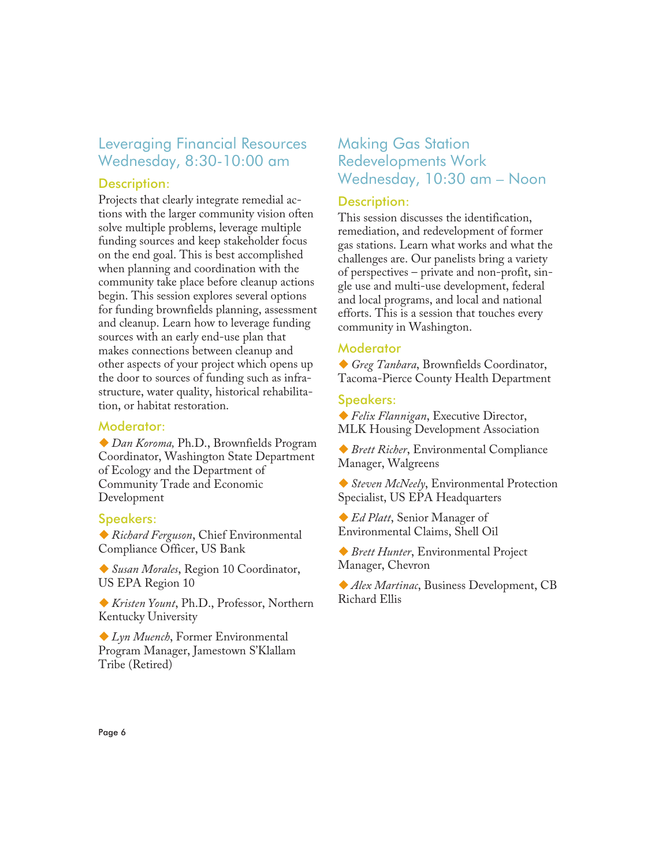## Leveraging Financial Resources Wednesday, 8:30-10:00 am

#### Description:

Projects that clearly integrate remedial actions with the larger community vision often solve multiple problems, leverage multiple funding sources and keep stakeholder focus on the end goal. This is best accomplished when planning and coordination with the community take place before cleanup actions begin. This session explores several options for funding brownfields planning, assessment and cleanup. Learn how to leverage funding sources with an early end-use plan that makes connections between cleanup and other aspects of your project which opens up the door to sources of funding such as infrastructure, water quality, historical rehabilitation, or habitat restoration.

#### Moderator:

-*Dan Koroma,* Ph.D., Brownfields Program Coordinator, Washington State Department of Ecology and the Department of Community Trade and Economic Development

#### Speakers:

-*Richard Ferguson*, Chief Environmental Compliance Officer, US Bank

-*Susan Morales*, Region 10 Coordinator, US EPA Region 10

-*Kristen Yount*, Ph.D., Professor, Northern Kentucky University

-*Lyn Muench*, Former Environmental Program Manager, Jamestown S'Klallam Tribe (Retired)

## Making Gas Station Redevelopments Work Wednesday, 10:30 am – Noon

#### Description:

This session discusses the identification, remediation, and redevelopment of former gas stations. Learn what works and what the challenges are. Our panelists bring a variety of perspectives – private and non-profit, single use and multi-use development, federal and local programs, and local and national efforts. This is a session that touches every community in Washington.

#### **Moderator**

-*Greg Tanbara*, Brownfields Coordinator, Tacoma-Pierce County Health Department

#### Speakers:

-*Felix Flannigan*, Executive Director, MLK Housing Development Association

-*Brett Richer*, Environmental Compliance Manager, Walgreens

-*Steven McNeely*, Environmental Protection Specialist, US EPA Headquarters

-*Ed Platt*, Senior Manager of Environmental Claims, Shell Oil

-*Brett Hunter*, Environmental Project Manager, Chevron

-*Alex Martinac*, Business Development, CB Richard Ellis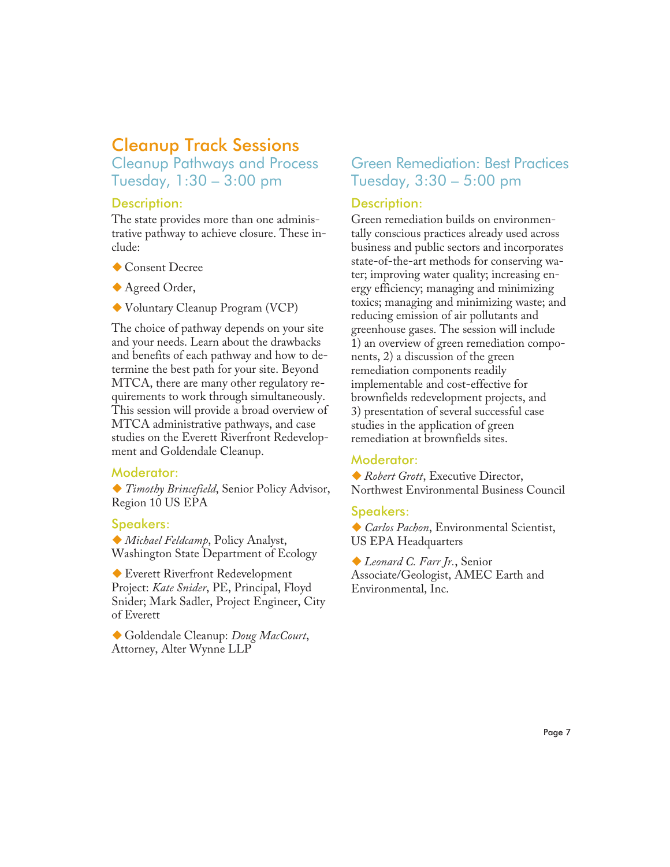## Cleanup Track Sessions Cleanup Pathways and Process

Tuesday, 1:30 – 3:00 pm

#### Description:

The state provides more than one administrative pathway to achieve closure. These include:

- -Consent Decree
- -Agreed Order,
- -Voluntary Cleanup Program (VCP)

The choice of pathway depends on your site and your needs. Learn about the drawbacks and benefits of each pathway and how to determine the best path for your site. Beyond MTCA, there are many other regulatory requirements to work through simultaneously. This session will provide a broad overview of MTCA administrative pathways, and case studies on the Everett Riverfront Redevelopment and Goldendale Cleanup.

#### Moderator:

-*Timothy Brincefield*, Senior Policy Advisor, Region 10 US EPA

#### Speakers:

-*Michael Feldcamp*, Policy Analyst, Washington State Department of Ecology

-Everett Riverfront Redevelopment Project: *Kate Snider*, PE, Principal, Floyd Snider; Mark Sadler, Project Engineer, City of Everett

-Goldendale Cleanup: *Doug MacCourt*, Attorney, Alter Wynne LLP

## Green Remediation: Best Practices Tuesday, 3:30 – 5:00 pm

#### Description:

Green remediation builds on environmentally conscious practices already used across business and public sectors and incorporates state-of-the-art methods for conserving water; improving water quality; increasing energy efficiency; managing and minimizing toxics; managing and minimizing waste; and reducing emission of air pollutants and greenhouse gases. The session will include 1) an overview of green remediation components, 2) a discussion of the green remediation components readily implementable and cost-effective for brownfields redevelopment projects, and 3) presentation of several successful case studies in the application of green remediation at brownfields sites.

#### Moderator:

-*Robert Grott*, Executive Director, Northwest Environmental Business Council

#### Speakers:

-*Carlos Pachon*, Environmental Scientist, US EPA Headquarters

-*Leonard C. Farr Jr.*, Senior Associate/Geologist, AMEC Earth and Environmental, Inc.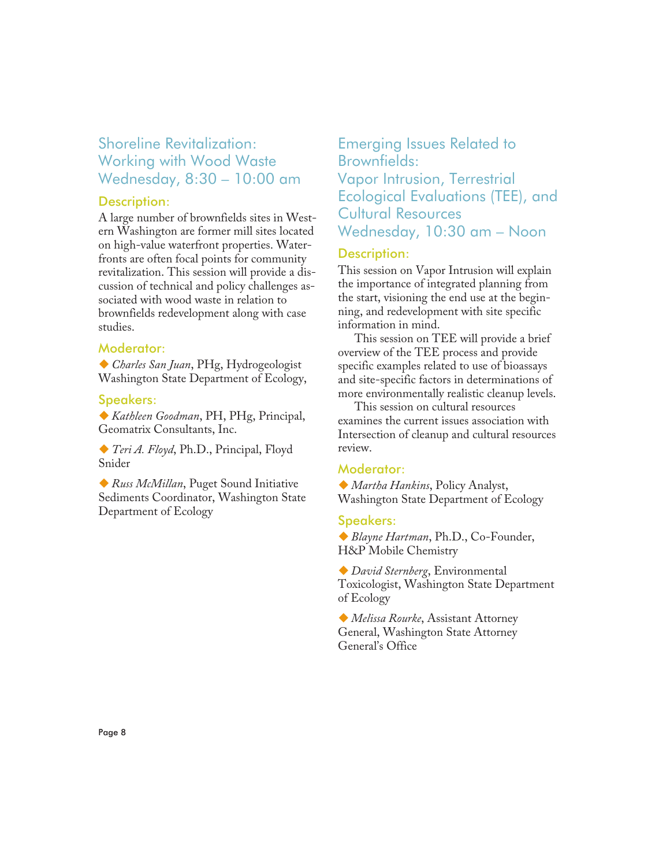## Shoreline Revitalization: Working with Wood Waste Wednesday, 8:30 – 10:00 am

#### Description:

A large number of brownfields sites in Western Washington are former mill sites located on high-value waterfront properties. Waterfronts are often focal points for community revitalization. This session will provide a discussion of technical and policy challenges associated with wood waste in relation to brownfields redevelopment along with case studies.

#### Moderator:

-*Charles San Juan*, PHg, Hydrogeologist Washington State Department of Ecology,

#### Speakers:

-*Kathleen Goodman*, PH, PHg, Principal, Geomatrix Consultants, Inc.

-*Teri A. Floyd*, Ph.D., Principal, Floyd Snider

-*Russ McMillan*, Puget Sound Initiative Sediments Coordinator, Washington State Department of Ecology

## Emerging Issues Related to Brownfields: Vapor Intrusion, Terrestrial Ecological Evaluations (TEE), and Cultural Resources Wednesday, 10:30 am – Noon

#### Description:

This session on Vapor Intrusion will explain the importance of integrated planning from the start, visioning the end use at the beginning, and redevelopment with site specific information in mind.

This session on TEE will provide a brief overview of the TEE process and provide specific examples related to use of bioassays and site-specific factors in determinations of more environmentally realistic cleanup levels.

This session on cultural resources examines the current issues association with Intersection of cleanup and cultural resources review.

#### Moderator:

-*Martha Hankins*, Policy Analyst, Washington State Department of Ecology

#### Speakers:

-*Blayne Hartman*, Ph.D., Co-Founder, H&P Mobile Chemistry

-*David Sternberg*, Environmental Toxicologist, Washington State Department of Ecology

-*Melissa Rourke*, Assistant Attorney General, Washington State Attorney General's Office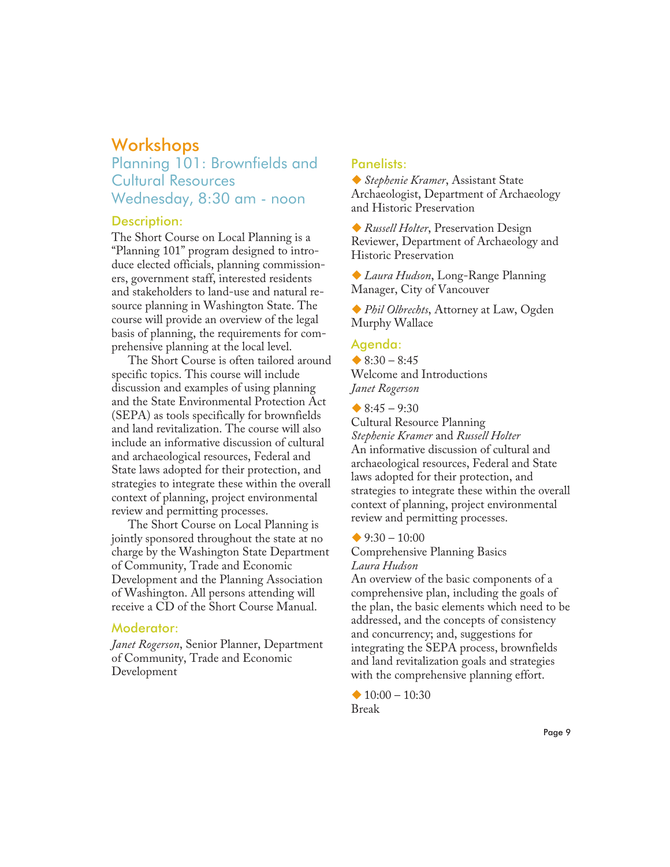## **Workshops**

## Planning 101: Brownfields and Cultural Resources Wednesday, 8:30 am - noon

#### Description:

The Short Course on Local Planning is a "Planning 101" program designed to introduce elected officials, planning commissioners, government staff, interested residents and stakeholders to land-use and natural resource planning in Washington State. The course will provide an overview of the legal basis of planning, the requirements for comprehensive planning at the local level.

The Short Course is often tailored around specific topics. This course will include discussion and examples of using planning and the State Environmental Protection Act (SEPA) as tools specifically for brownfields and land revitalization. The course will also include an informative discussion of cultural and archaeological resources, Federal and State laws adopted for their protection, and strategies to integrate these within the overall context of planning, project environmental review and permitting processes.

The Short Course on Local Planning is jointly sponsored throughout the state at no charge by the Washington State Department of Community, Trade and Economic Development and the Planning Association of Washington. All persons attending will receive a CD of the Short Course Manual.

#### Moderator:

*Janet Rogerson*, Senior Planner, Department of Community, Trade and Economic Development

#### Panelists:

-*Stephenie Kramer*, Assistant State Archaeologist, Department of Archaeology and Historic Preservation

-*Russell Holter*, Preservation Design Reviewer, Department of Archaeology and Historic Preservation

-*Laura Hudson*, Long-Range Planning Manager, City of Vancouver

-*Phil Olbrechts*, Attorney at Law, Ogden Murphy Wallace

#### Agenda:

 $\triangle$  8:30 – 8:45 Welcome and Introductions *Janet Rogerson*

 $\triangle$  8:45 – 9:30

Cultural Resource Planning *Stephenie Kramer* and *Russell Holter* An informative discussion of cultural and archaeological resources, Federal and State laws adopted for their protection, and strategies to integrate these within the overall context of planning, project environmental review and permitting processes.

 $9:30 - 10:00$ 

Comprehensive Planning Basics *Laura Hudson*

An overview of the basic components of a comprehensive plan, including the goals of the plan, the basic elements which need to be addressed, and the concepts of consistency and concurrency; and, suggestions for integrating the SEPA process, brownfields and land revitalization goals and strategies with the comprehensive planning effort.

 $\triangle$  10:00 - 10:30 Break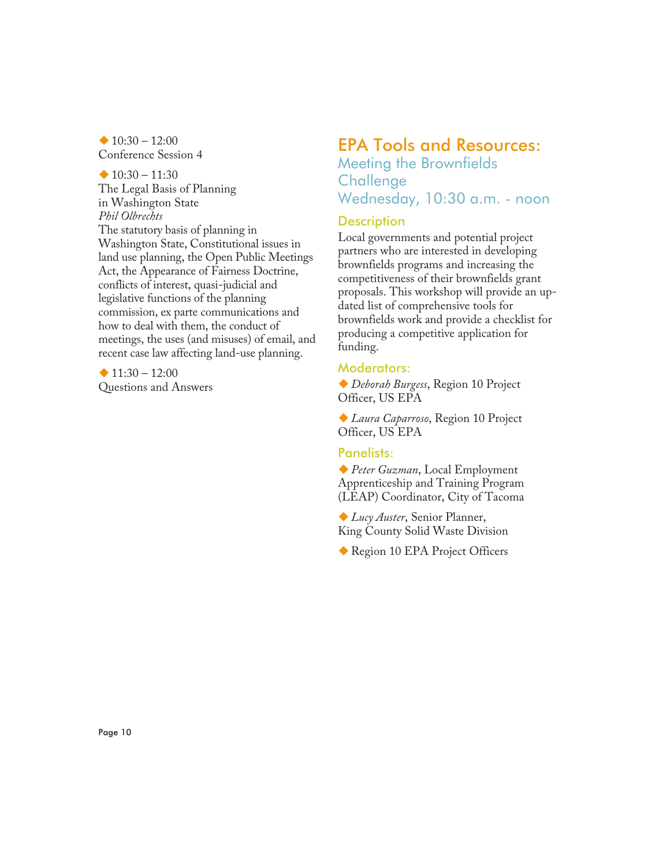$\triangle$  10:30 - 12:00 Conference Session 4

 $\triangle$  10:30 – 11:30 The Legal Basis of Planning in Washington State *Phil Olbrechts* The statutory basis of planning in Washington State, Constitutional issues in land use planning, the Open Public Meetings Act, the Appearance of Fairness Doctrine, conflicts of interest, quasi-judicial and legislative functions of the planning commission, ex parte communications and how to deal with them, the conduct of meetings, the uses (and misuses) of email, and recent case law affecting land-use planning.

 $\triangle$  11:30 - 12:00 Questions and Answers

## EPA Tools and Resources:

Meeting the Brownfields **Challenge** Wednesday, 10:30 a.m. - noon

#### **Description**

Local governments and potential project partners who are interested in developing brownfields programs and increasing the competitiveness of their brownfields grant proposals. This workshop will provide an updated list of comprehensive tools for brownfields work and provide a checklist for producing a competitive application for funding.

#### Moderators:

-*Deborah Burgess*, Region 10 Project Officer, US EPA

-*Laura Caparroso*, Region 10 Project Officer, US EPA

#### Panelists:

-*Peter Guzman*, Local Employment Apprenticeship and Training Program (LEAP) Coordinator, City of Tacoma

-*Lucy Auster*, Senior Planner, King County Solid Waste Division

-Region 10 EPA Project Officers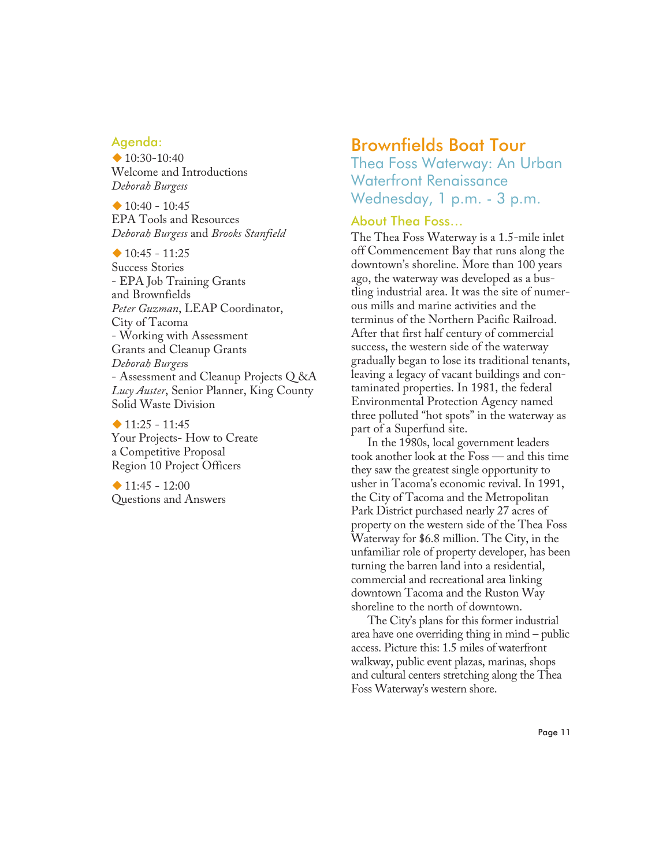#### Agenda:

 $\bigstar$  10:30-10:40 Welcome and Introductions *Deborah Burgess*

 $\triangle$  10:40 - 10:45 EPA Tools and Resources *Deborah Burgess* and *Brooks Stanfield*

 $\triangle$  10:45 - 11:25 Success Stories - EPA Job Training Grants and Brownfields *Peter Guzman*, LEAP Coordinator, City of Tacoma - Working with Assessment Grants and Cleanup Grants *Deborah Burges*s - Assessment and Cleanup Projects Q &A *Lucy Auster*, Senior Planner, King County Solid Waste Division

 $\triangle$  11:25 - 11:45 Your Projects- How to Create a Competitive Proposal Region 10 Project Officers

 $\triangle$  11:45 - 12:00 Questions and Answers

## Brownfields Boat Tour

Thea Foss Waterway: An Urban Waterfront Renaissance Wednesday, 1 p.m. - 3 p.m.

#### About Thea Foss…

The Thea Foss Waterway is a 1.5-mile inlet off Commencement Bay that runs along the downtown's shoreline. More than 100 years ago, the waterway was developed as a bustling industrial area. It was the site of numerous mills and marine activities and the terminus of the Northern Pacific Railroad. After that first half century of commercial success, the western side of the waterway gradually began to lose its traditional tenants, leaving a legacy of vacant buildings and contaminated properties. In 1981, the federal Environmental Protection Agency named three polluted "hot spots" in the waterway as part of a Superfund site.

In the 1980s, local government leaders took another look at the Foss — and this time they saw the greatest single opportunity to usher in Tacoma's economic revival. In 1991, the City of Tacoma and the Metropolitan Park District purchased nearly 27 acres of property on the western side of the Thea Foss Waterway for \$6.8 million. The City, in the unfamiliar role of property developer, has been turning the barren land into a residential, commercial and recreational area linking downtown Tacoma and the Ruston Way shoreline to the north of downtown.

The City's plans for this former industrial area have one overriding thing in mind – public access. Picture this: 1.5 miles of waterfront walkway, public event plazas, marinas, shops and cultural centers stretching along the Thea Foss Waterway's western shore.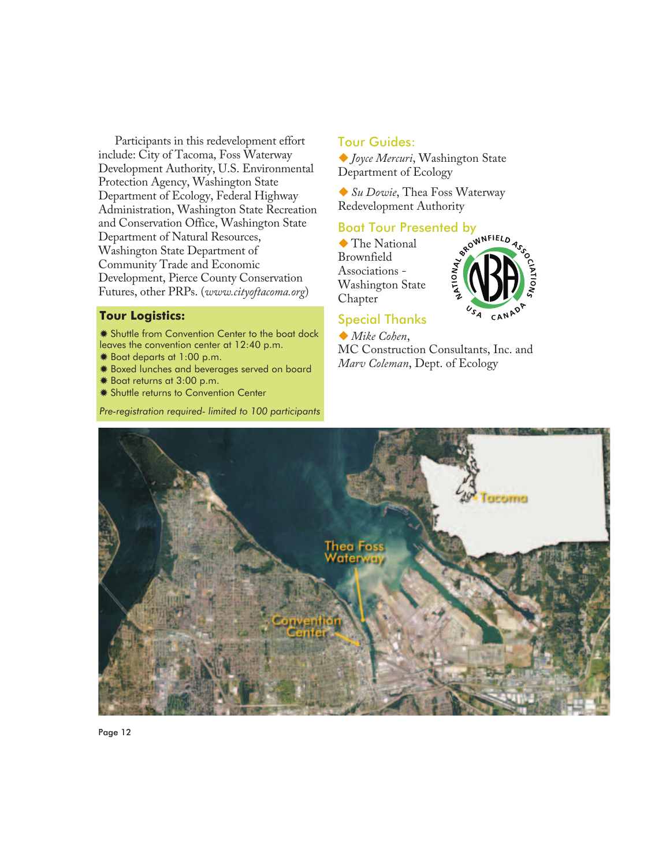Participants in this redevelopment effort include: City of Tacoma, Foss Waterway Development Authority, U.S. Environmental Protection Agency, Washington State Department of Ecology, Federal Highway Administration, Washington State Recreation and Conservation Office, Washington State Department of Natural Resources, Washington State Department of Community Trade and Economic Development, Pierce County Conservation Futures, other PRPs. (*www.cityoftacoma.org*)

#### **Tour Logistics:**

 Shuttle from Convention Center to the boat dock leaves the convention center at 12:40 p.m.

- Boat departs at 1:00 p.m.
- Boxed lunches and beverages served on board
- Boat returns at 3:00 p.m.
- **\* Shuttle returns to Convention Center**

*Pre-registration required- limited to 100 participants*

#### Tour Guides:

-*Joyce Mercuri*, Washington State Department of Ecology

-*Su Dowie*, Thea Foss Waterway Redevelopment Authority

 $\blacklozenge$  The National Brownfield Associations - Washington State Chapter



#### Special Thanks

-*Mike Cohen*, MC Construction Consultants, Inc. and *Marv Coleman*, Dept. of Ecology



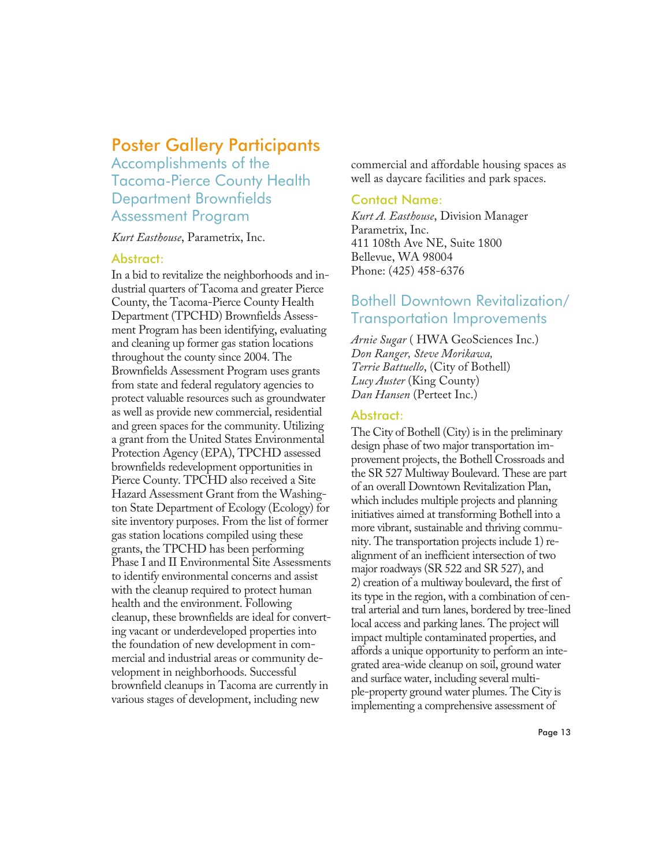## Poster Gallery Participants

Accomplishments of the Tacoma-Pierce County Health Department Brownfields Assessment Program

*Kurt Easthouse*, Parametrix, Inc.

#### Abstract:

In a bid to revitalize the neighborhoods and industrial quarters of Tacoma and greater Pierce County, the Tacoma-Pierce County Health Department (TPCHD) Brownfields Assessment Program has been identifying, evaluating and cleaning up former gas station locations throughout the county since 2004. The Brownfields Assessment Program uses grants from state and federal regulatory agencies to protect valuable resources such as groundwater as well as provide new commercial, residential and green spaces for the community. Utilizing a grant from the United States Environmental Protection Agency (EPA), TPCHD assessed brownfields redevelopment opportunities in Pierce County. TPCHD also received a Site Hazard Assessment Grant from the Washington State Department of Ecology (Ecology) for site inventory purposes. From the list of former gas station locations compiled using these grants, the TPCHD has been performing Phase I and II Environmental Site Assessments to identify environmental concerns and assist with the cleanup required to protect human health and the environment. Following cleanup, these brownfields are ideal for converting vacant or underdeveloped properties into the foundation of new development in commercial and industrial areas or community development in neighborhoods. Successful brownfield cleanups in Tacoma are currently in various stages of development, including new

commercial and affordable housing spaces as well as daycare facilities and park spaces.

#### Contact Name:

*Kurt A. Easthouse*, Division Manager Parametrix, Inc. 411 108th Ave NE, Suite 1800 Bellevue, WA 98004 Phone: (425) 458-6376

## Bothell Downtown Revitalization/ Transportation Improvements

*Arnie Sugar* ( HWA GeoSciences Inc.) *Don Ranger, Steve Morikawa, Terrie Battuello*, (City of Bothell) *Lucy Auster* (King County) *Dan Hansen* (Perteet Inc.)

#### Abstract:

The City of Bothell (City) is in the preliminary design phase of two major transportation improvement projects, the Bothell Crossroads and the SR 527 Multiway Boulevard. These are part of an overall Downtown Revitalization Plan, which includes multiple projects and planning initiatives aimed at transforming Bothell into a more vibrant, sustainable and thriving community. The transportation projects include 1) realignment of an inefficient intersection of two major roadways (SR 522 and SR 527), and 2) creation of a multiway boulevard, the first of its type in the region, with a combination of central arterial and turn lanes, bordered by tree-lined local access and parking lanes. The project will impact multiple contaminated properties, and affords a unique opportunity to perform an integrated area-wide cleanup on soil, ground water and surface water, including several multiple-property ground water plumes. The City is implementing a comprehensive assessment of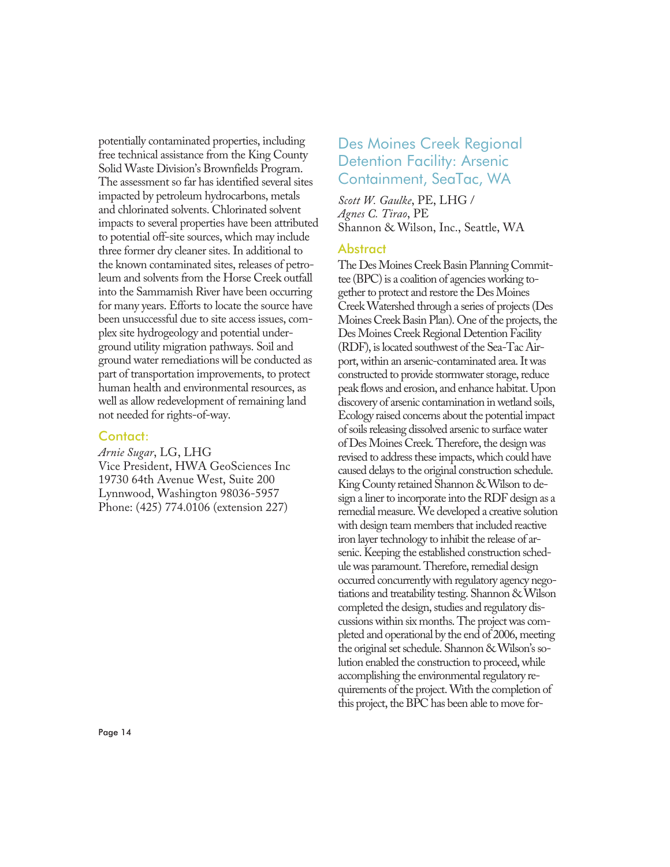potentially contaminated properties, including free technical assistance from the King County Solid Waste Division's Brownfields Program. The assessment so far has identified several sites impacted by petroleum hydrocarbons, metals and chlorinated solvents. Chlorinated solvent impacts to several properties have been attributed to potential off-site sources, which may include three former dry cleaner sites. In additional to the known contaminated sites, releases of petroleum and solvents from the Horse Creek outfall into the Sammamish River have been occurring for many years. Efforts to locate the source have been unsuccessful due to site access issues, complex site hydrogeology and potential underground utility migration pathways. Soil and ground water remediations will be conducted as part of transportation improvements, to protect human health and environmental resources, as well as allow redevelopment of remaining land not needed for rights-of-way.

#### Contact:

*Arnie Sugar*, LG, LHG Vice President, HWA GeoSciences Inc 19730 64th Avenue West, Suite 200 Lynnwood, Washington 98036-5957 Phone: (425) 774.0106 (extension 227)

## Des Moines Creek Regional Detention Facility: Arsenic Containment, SeaTac, WA

*Scott W. Gaulke*, PE, LHG / *Agnes C. Tirao*, PE Shannon & Wilson, Inc., Seattle, WA

#### Abstract

The Des Moines Creek Basin Planning Committee (BPC) is a coalition of agencies working together to protect and restore the Des Moines Creek Watershed through a series of projects (Des Moines Creek Basin Plan). One of the projects, the Des Moines Creek Regional Detention Facility (RDF), is located southwest of the Sea-Tac Airport, within an arsenic-contaminated area. It was constructed to provide stormwater storage, reduce peak flows and erosion, and enhance habitat. Upon discovery of arsenic contamination in wetland soils, Ecology raised concerns about the potential impact of soils releasing dissolved arsenic to surface water of Des Moines Creek. Therefore, the design was revised to address these impacts, which could have caused delays to the original construction schedule. King County retained Shannon & Wilson to design a liner to incorporate into the RDF design as a remedial measure. We developed a creative solution with design team members that included reactive iron layer technology to inhibit the release of arsenic. Keeping the established construction schedule was paramount. Therefore, remedial design occurred concurrently with regulatory agency negotiations and treatability testing. Shannon & Wilson completed the design, studies and regulatory discussions within six months. The project was completed and operational by the end of 2006, meeting the original set schedule. Shannon & Wilson's solution enabled the construction to proceed, while accomplishing the environmental regulatory requirements of the project. With the completion of this project, the BPC has been able to move for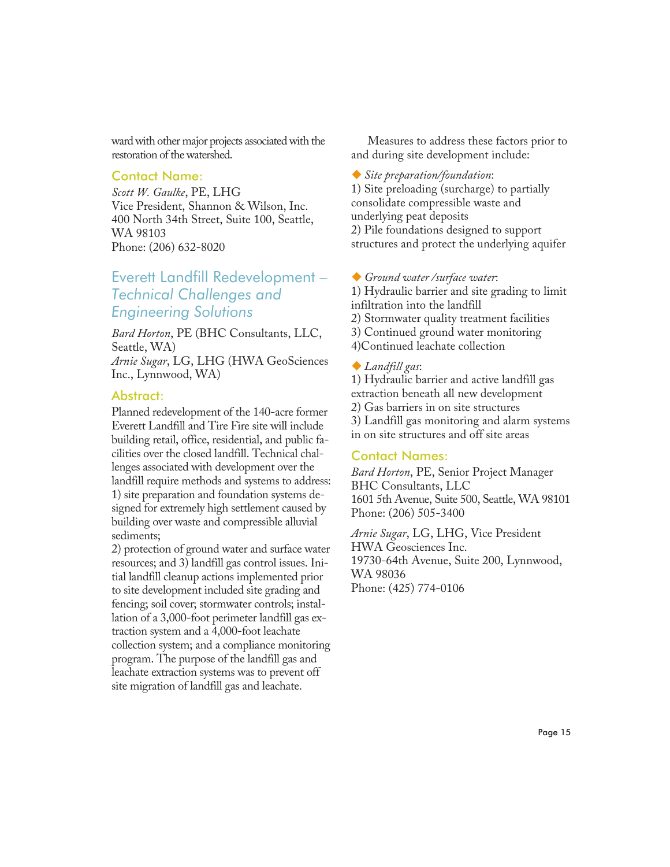ward with other major projects associated with the restoration of the watershed.

#### Contact Name:

*Scott W. Gaulke*, PE, LHG Vice President, Shannon & Wilson, Inc. 400 North 34th Street, Suite 100, Seattle, WA 98103 Phone: (206) 632-8020

## Everett Landfill Redevelopment – *Technical Challenges and Engineering Solutions*

*Bard Horton*, PE (BHC Consultants, LLC, Seattle, WA)

*Arnie Sugar*, LG, LHG (HWA GeoSciences Inc., Lynnwood, WA)

#### Abstract:

Planned redevelopment of the 140-acre former Everett Landfill and Tire Fire site will include building retail, office, residential, and public facilities over the closed landfill. Technical challenges associated with development over the landfill require methods and systems to address: 1) site preparation and foundation systems designed for extremely high settlement caused by building over waste and compressible alluvial sediments;

2) protection of ground water and surface water resources; and 3) landfill gas control issues. Initial landfill cleanup actions implemented prior to site development included site grading and fencing; soil cover; stormwater controls; installation of a 3,000-foot perimeter landfill gas extraction system and a 4,000-foot leachate collection system; and a compliance monitoring program. The purpose of the landfill gas and leachate extraction systems was to prevent off site migration of landfill gas and leachate.

Measures to address these factors prior to and during site development include:

-*Site preparation/foundation*: 1) Site preloading (surcharge) to partially consolidate compressible waste and underlying peat deposits 2) Pile foundations designed to support

- 
- -*Ground water /surface water*: 1) Hydraulic barrier and site grading to limit

structures and protect the underlying aquifer

- infiltration into the landfill
- 2) Stormwater quality treatment facilities
- 3) Continued ground water monitoring
- 4)Continued leachate collection

-*Landfill gas*:

1) Hydraulic barrier and active landfill gas extraction beneath all new development 2) Gas barriers in on site structures 3) Landfill gas monitoring and alarm systems in on site structures and off site areas

#### Contact Names:

*Bard Horton*, PE, Senior Project Manager BHC Consultants, LLC 1601 5th Avenue, Suite 500, Seattle, WA 98101 Phone: (206) 505-3400

*Arnie Sugar*, LG, LHG, Vice President HWA Geosciences Inc. 19730-64th Avenue, Suite 200, Lynnwood, WA 98036 Phone: (425) 774-0106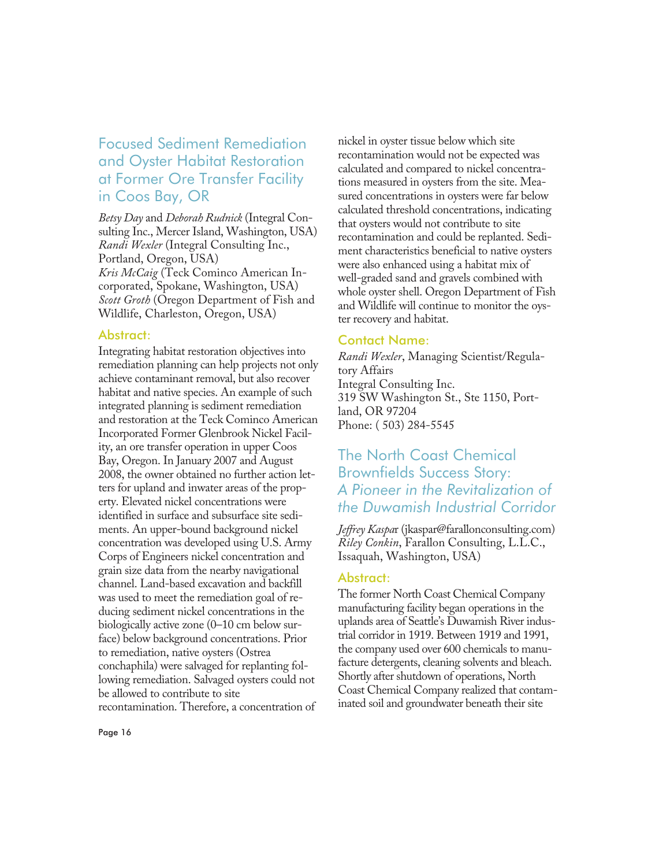## Focused Sediment Remediation and Oyster Habitat Restoration at Former Ore Transfer Facility in Coos Bay, OR

*Betsy Day* and *Deborah Rudnick* (Integral Consulting Inc., Mercer Island, Washington, USA) *Randi Wexler* (Integral Consulting Inc., Portland, Oregon, USA) *Kris McCaig* (Teck Cominco American Incorporated, Spokane, Washington, USA) *Scott Groth* (Oregon Department of Fish and Wildlife, Charleston, Oregon, USA)

#### Abstract:

Integrating habitat restoration objectives into remediation planning can help projects not only achieve contaminant removal, but also recover habitat and native species. An example of such integrated planning is sediment remediation and restoration at the Teck Cominco American Incorporated Former Glenbrook Nickel Facility, an ore transfer operation in upper Coos Bay, Oregon. In January 2007 and August 2008, the owner obtained no further action letters for upland and inwater areas of the property. Elevated nickel concentrations were identified in surface and subsurface site sediments. An upper-bound background nickel concentration was developed using U.S. Army Corps of Engineers nickel concentration and grain size data from the nearby navigational channel. Land-based excavation and backfill was used to meet the remediation goal of reducing sediment nickel concentrations in the biologically active zone (0–10 cm below surface) below background concentrations. Prior to remediation, native oysters (Ostrea conchaphila) were salvaged for replanting following remediation. Salvaged oysters could not be allowed to contribute to site recontamination. Therefore, a concentration of

nickel in oyster tissue below which site recontamination would not be expected was calculated and compared to nickel concentrations measured in oysters from the site. Measured concentrations in oysters were far below calculated threshold concentrations, indicating that oysters would not contribute to site recontamination and could be replanted. Sediment characteristics beneficial to native oysters were also enhanced using a habitat mix of well-graded sand and gravels combined with whole oyster shell. Oregon Department of Fish and Wildlife will continue to monitor the oyster recovery and habitat.

#### Contact Name:

*Randi Wexler*, Managing Scientist/Regulatory Affairs Integral Consulting Inc. 319 SW Washington St., Ste 1150, Portland, OR 97204 Phone: ( 503) 284-5545

## The North Coast Chemical Brownfields Success Story: *A Pioneer in the Revitalization of the Duwamish Industrial Corridor*

*Jeffrey Kaspa*r (jkaspar@farallonconsulting.com) *Riley Conkin*, Farallon Consulting, L.L.C., Issaquah, Washington, USA)

#### Abstract:

The former North Coast Chemical Company manufacturing facility began operations in the uplands area of Seattle's Duwamish River industrial corridor in 1919. Between 1919 and 1991, the company used over 600 chemicals to manufacture detergents, cleaning solvents and bleach. Shortly after shutdown of operations, North Coast Chemical Company realized that contaminated soil and groundwater beneath their site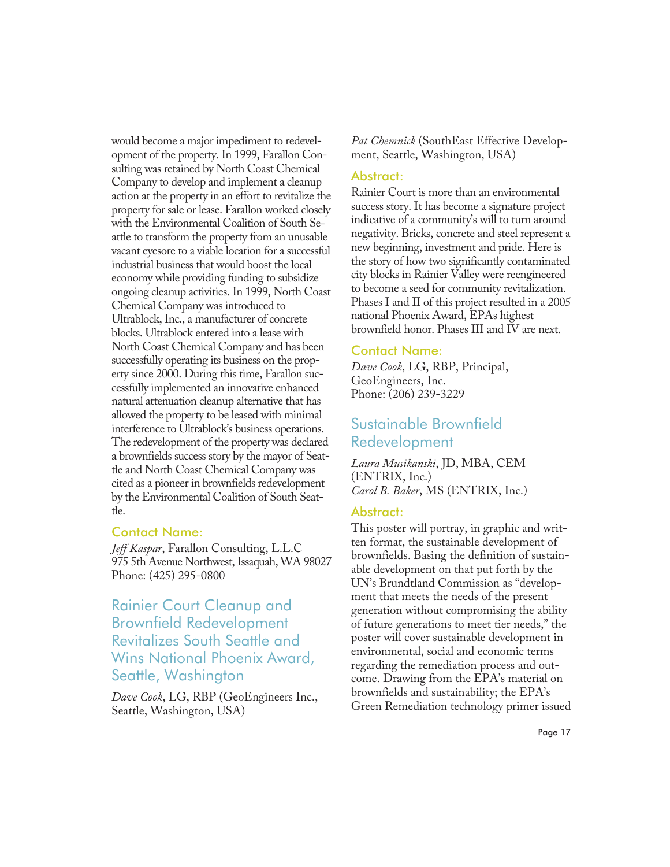would become a major impediment to redevelopment of the property. In 1999, Farallon Consulting was retained by North Coast Chemical Company to develop and implement a cleanup action at the property in an effort to revitalize the property for sale or lease. Farallon worked closely with the Environmental Coalition of South Seattle to transform the property from an unusable vacant eyesore to a viable location for a successful industrial business that would boost the local economy while providing funding to subsidize ongoing cleanup activities. In 1999, North Coast Chemical Company was introduced to Ultrablock, Inc., a manufacturer of concrete blocks. Ultrablock entered into a lease with North Coast Chemical Company and has been successfully operating its business on the property since 2000. During this time, Farallon successfully implemented an innovative enhanced natural attenuation cleanup alternative that has allowed the property to be leased with minimal interference to Ultrablock's business operations. The redevelopment of the property was declared a brownfields success story by the mayor of Seattle and North Coast Chemical Company was cited as a pioneer in brownfields redevelopment by the Environmental Coalition of South Seattle.

#### Contact Name:

*Jeff Kaspar*, Farallon Consulting, L.L.C 975 5th Avenue Northwest, Issaquah, WA 98027 Phone: (425) 295-0800

## Rainier Court Cleanup and Brownfield Redevelopment Revitalizes South Seattle and Wins National Phoenix Award, Seattle, Washington

*Dave Cook*, LG, RBP (GeoEngineers Inc., Seattle, Washington, USA)

*Pat Chemnick* (SouthEast Effective Development, Seattle, Washington, USA)

#### Abstract:

Rainier Court is more than an environmental success story. It has become a signature project indicative of a community's will to turn around negativity. Bricks, concrete and steel represent a new beginning, investment and pride. Here is the story of how two significantly contaminated city blocks in Rainier Valley were reengineered to become a seed for community revitalization. Phases I and II of this project resulted in a 2005 national Phoenix Award, EPAs highest brownfield honor. Phases III and IV are next.

#### Contact Name:

*Dave Cook*, LG, RBP, Principal, GeoEngineers, Inc. Phone: (206) 239-3229

## Sustainable Brownfield Redevelopment

*Laura Musikanski*, JD, MBA, CEM (ENTRIX, Inc.) *Carol B. Baker*, MS (ENTRIX, Inc.)

#### Abstract:

This poster will portray, in graphic and written format, the sustainable development of brownfields. Basing the definition of sustainable development on that put forth by the UN's Brundtland Commission as "development that meets the needs of the present generation without compromising the ability of future generations to meet tier needs," the poster will cover sustainable development in environmental, social and economic terms regarding the remediation process and outcome. Drawing from the EPA's material on brownfields and sustainability; the EPA's Green Remediation technology primer issued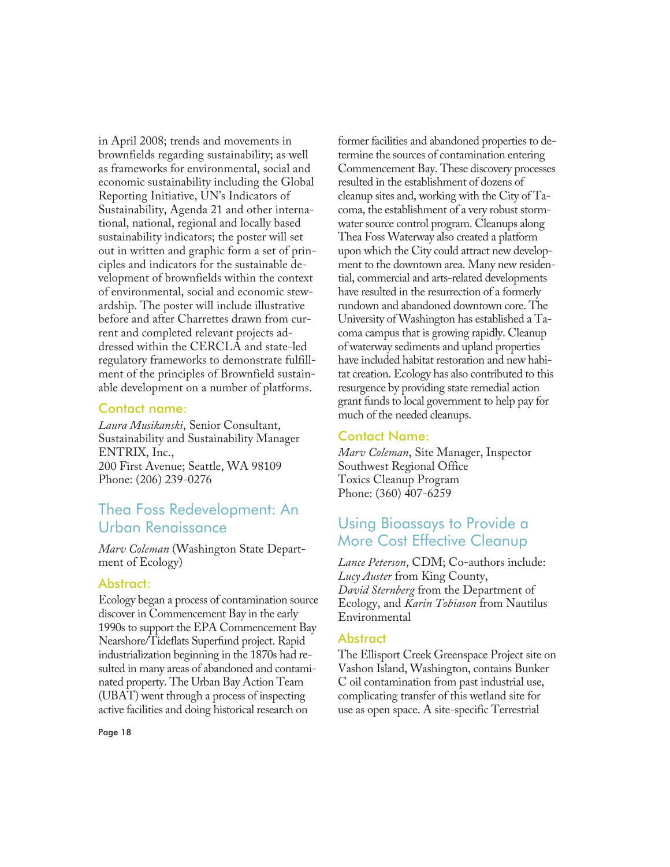in April 2008; trends and movements in brownfields regarding sustainability; as well as frameworks for environmental, social and economic sustainability including the Global Reporting Initiative, UN's Indicators of Sustainability, Agenda 21 and other international, national, regional and locally based sustainability indicators; the poster will set out in written and graphic form a set of principles and indicators for the sustainable development of brownfields within the context of environmental, social and economic stewardship. The poster will include illustrative before and after Charrettes drawn from current and completed relevant projects addressed within the CERCLA and state-led regulatory frameworks to demonstrate fulfillment of the principles of Brownfield sustainable development on a number of platforms.

#### Contact name:

*Laura Musikanski*, Senior Consultant, Sustainability and Sustainability Manager ENTRIX, Inc., 200 First Avenue; Seattle, WA 98109 Phone: (206) 239-0276

## Thea Foss Redevelopment: An Urban Renaissance

*Marv Coleman* (Washington State Department of Ecology)

#### Abstract:

Ecology began a process of contamination source discover in Commencement Bay in the early 1990s to support the EPA Commencement Bay Nearshore/Tideflats Superfund project. Rapid industrialization beginning in the 1870s had resulted in many areas of abandoned and contaminated property. The Urban Bay Action Team (UBAT) went through a process of inspecting active facilities and doing historical research on

former facilities and abandoned properties to determine the sources of contamination entering Commencement Bay. These discovery processes resulted in the establishment of dozens of cleanup sites and, working with the City of Tacoma, the establishment of a very robust stormwater source control program. Cleanups along Thea Foss Waterway also created a platform upon which the City could attract new development to the downtown area. Many new residential, commercial and arts-related developments have resulted in the resurrection of a formerly rundown and abandoned downtown core. The University of Washington has established a Tacoma campus that is growing rapidly. Cleanup of waterway sediments and upland properties have included habitat restoration and new habitat creation. Ecology has also contributed to this resurgence by providing state remedial action grant funds to local government to help pay for much of the needed cleanups.

#### Contact Name:

*Marv Coleman*, Site Manager, Inspector Southwest Regional Office Toxics Cleanup Program Phone: (360) 407-6259

## Using Bioassays to Provide a More Cost Effective Cleanup

*Lance Peterson*, CDM; Co-authors include: *Lucy Auster* from King County, *David Sternberg* from the Department of Ecology, and *Karin Tobiason* from Nautilus Environmental

#### Abstract

The Ellisport Creek Greenspace Project site on Vashon Island, Washington, contains Bunker C oil contamination from past industrial use, complicating transfer of this wetland site for use as open space. A site-specific Terrestrial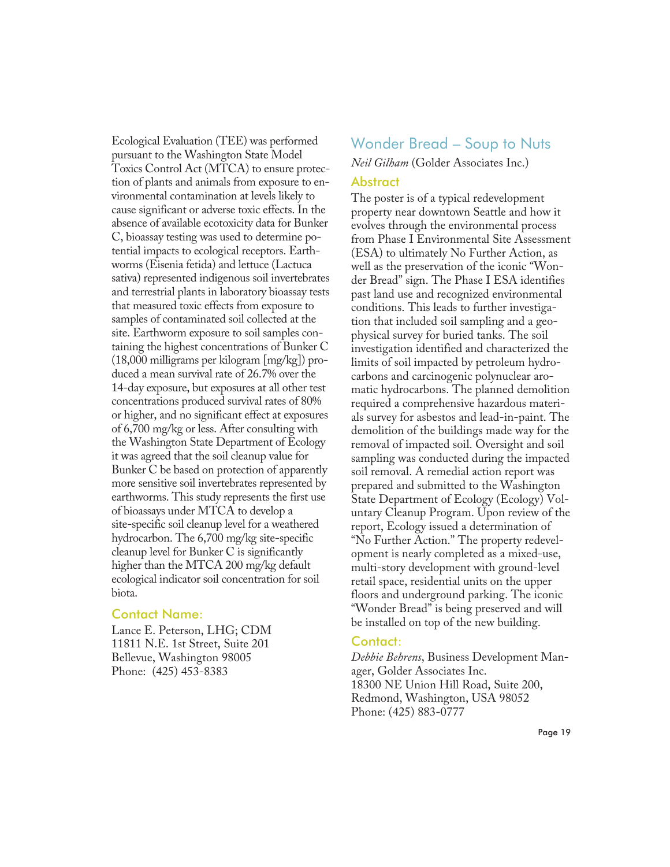Ecological Evaluation (TEE) was performed pursuant to the Washington State Model Toxics Control Act (MTCA) to ensure protection of plants and animals from exposure to environmental contamination at levels likely to cause significant or adverse toxic effects. In the absence of available ecotoxicity data for Bunker C, bioassay testing was used to determine potential impacts to ecological receptors. Earthworms (Eisenia fetida) and lettuce (Lactuca sativa) represented indigenous soil invertebrates and terrestrial plants in laboratory bioassay tests that measured toxic effects from exposure to samples of contaminated soil collected at the site. Earthworm exposure to soil samples containing the highest concentrations of Bunker C (18,000 milligrams per kilogram [mg/kg]) produced a mean survival rate of 26.7% over the 14-day exposure, but exposures at all other test concentrations produced survival rates of 80% or higher, and no significant effect at exposures of 6,700 mg/kg or less. After consulting with the Washington State Department of Ecology it was agreed that the soil cleanup value for Bunker C be based on protection of apparently more sensitive soil invertebrates represented by earthworms. This study represents the first use of bioassays under MTCA to develop a site-specific soil cleanup level for a weathered hydrocarbon. The 6,700 mg/kg site-specific cleanup level for Bunker C is significantly higher than the MTCA 200 mg/kg default ecological indicator soil concentration for soil biota.

#### Contact Name:

Lance E. Peterson, LHG; CDM 11811 N.E. 1st Street, Suite 201 Bellevue, Washington 98005 Phone: (425) 453-8383

## Wonder Bread – Soup to Nuts

*Neil Gilham* (Golder Associates Inc.)

#### **Abstract**

The poster is of a typical redevelopment property near downtown Seattle and how it evolves through the environmental process from Phase I Environmental Site Assessment (ESA) to ultimately No Further Action, as well as the preservation of the iconic "Wonder Bread" sign. The Phase I ESA identifies past land use and recognized environmental conditions. This leads to further investigation that included soil sampling and a geophysical survey for buried tanks. The soil investigation identified and characterized the limits of soil impacted by petroleum hydrocarbons and carcinogenic polynuclear aromatic hydrocarbons. The planned demolition required a comprehensive hazardous materials survey for asbestos and lead-in-paint. The demolition of the buildings made way for the removal of impacted soil. Oversight and soil sampling was conducted during the impacted soil removal. A remedial action report was prepared and submitted to the Washington State Department of Ecology (Ecology) Voluntary Cleanup Program. Upon review of the report, Ecology issued a determination of "No Further Action." The property redevelopment is nearly completed as a mixed-use, multi-story development with ground-level retail space, residential units on the upper floors and underground parking. The iconic "Wonder Bread" is being preserved and will be installed on top of the new building.

#### Contact:

*Debbie Behrens*, Business Development Manager, Golder Associates Inc. 18300 NE Union Hill Road, Suite 200, Redmond, Washington, USA 98052 Phone: (425) 883-0777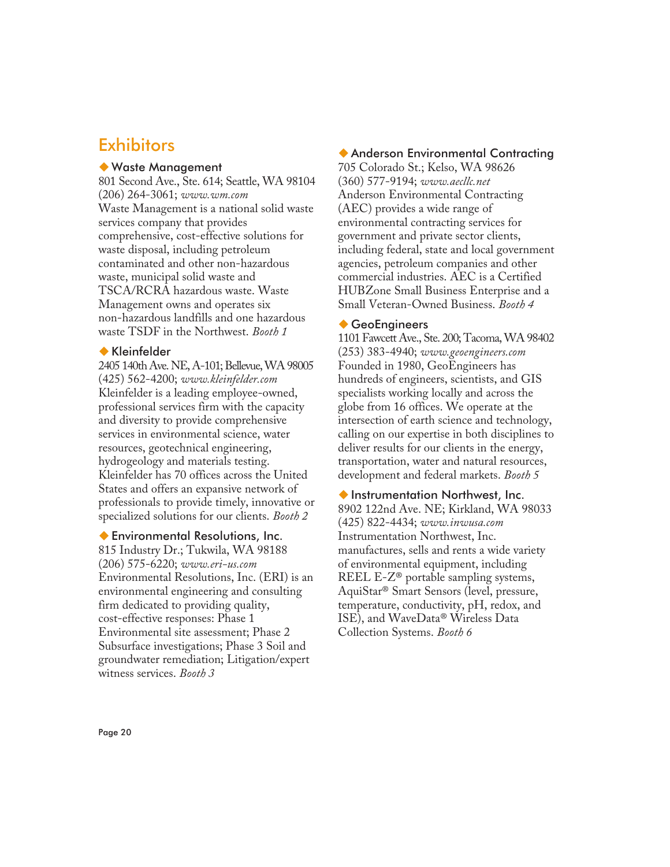## **Exhibitors**

#### -Waste Management

801 Second Ave., Ste. 614; Seattle, WA 98104 (206) 264-3061; *www.wm.com* Waste Management is a national solid waste services company that provides comprehensive, cost-effective solutions for waste disposal, including petroleum contaminated and other non-hazardous waste, municipal solid waste and TSCA/RCRA hazardous waste. Waste Management owns and operates six non-hazardous landfills and one hazardous waste TSDF in the Northwest. *Booth 1*

#### -Kleinfelder

2405 140th Ave. NE, A-101; Bellevue, WA 98005 (425) 562-4200; *www.kleinfelder.com* Kleinfelder is a leading employee-owned, professional services firm with the capacity and diversity to provide comprehensive services in environmental science, water resources, geotechnical engineering, hydrogeology and materials testing. Kleinfelder has 70 offices across the United States and offers an expansive network of professionals to provide timely, innovative or specialized solutions for our clients. *Booth 2*

#### -Environmental Resolutions, Inc.

815 Industry Dr.; Tukwila, WA 98188 (206) 575-6220; *www.eri-us.com* Environmental Resolutions, Inc. (ERI) is an environmental engineering and consulting firm dedicated to providing quality, cost-effective responses: Phase 1 Environmental site assessment; Phase 2 Subsurface investigations; Phase 3 Soil and groundwater remediation; Litigation/expert witness services. *Booth 3*

#### -Anderson Environmental Contracting

705 Colorado St.; Kelso, WA 98626 (360) 577-9194; *www.aecllc.net* Anderson Environmental Contracting (AEC) provides a wide range of environmental contracting services for government and private sector clients, including federal, state and local government agencies, petroleum companies and other commercial industries. AEC is a Certified HUBZone Small Business Enterprise and a Small Veteran-Owned Business. *Booth 4*

#### ◆ GeoEngineers

1101 Fawcett Ave., Ste. 200; Tacoma, WA 98402 (253) 383-4940; *www.geoengineers.com* Founded in 1980, GeoEngineers has hundreds of engineers, scientists, and GIS specialists working locally and across the globe from 16 offices. We operate at the intersection of earth science and technology, calling on our expertise in both disciplines to deliver results for our clients in the energy, transportation, water and natural resources, development and federal markets. *Booth 5*

#### -Instrumentation Northwest, Inc. 8902 122nd Ave. NE; Kirkland, WA 98033 (425) 822-4434; *www.inwusa.com* Instrumentation Northwest, Inc. manufactures, sells and rents a wide variety of environmental equipment, including REEL E-Z® portable sampling systems, AquiStar® Smart Sensors (level, pressure, temperature, conductivity, pH, redox, and ISE), and WaveData® Wireless Data Collection Systems. *Booth 6*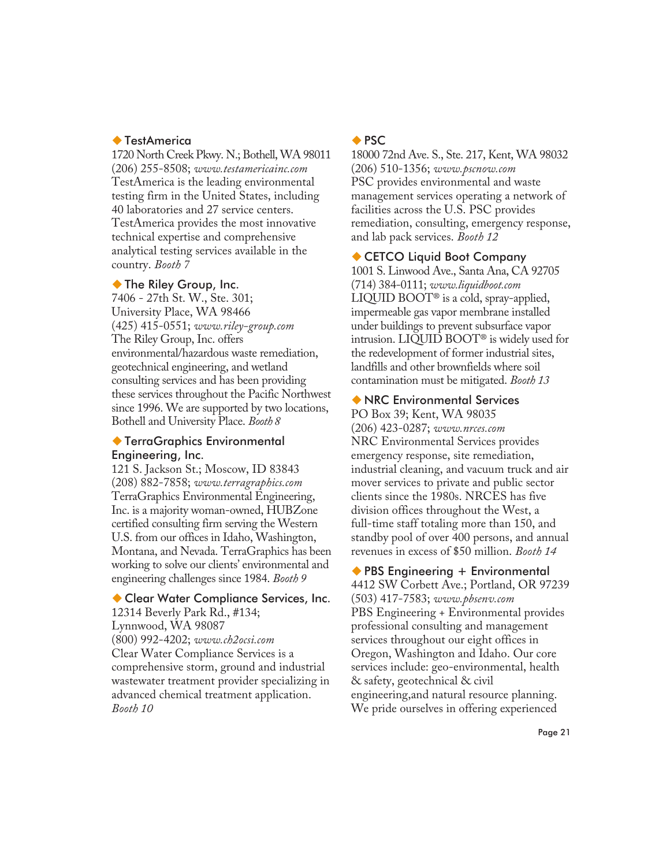#### ◆ TestAmerica

1720 North Creek Pkwy. N.; Bothell, WA 98011 (206) 255-8508; *www.testamericainc.com* TestAmerica is the leading environmental testing firm in the United States, including 40 laboratories and 27 service centers. TestAmerica provides the most innovative technical expertise and comprehensive analytical testing services available in the country. *Booth 7*

#### ◆ The Riley Group, Inc.

7406 - 27th St. W., Ste. 301; University Place, WA 98466 (425) 415-0551; *www.riley-group.com* The Riley Group, Inc. offers environmental/hazardous waste remediation, geotechnical engineering, and wetland consulting services and has been providing these services throughout the Pacific Northwest since 1996. We are supported by two locations, Bothell and University Place. *Booth 8*

#### -TerraGraphics Environmental Engineering, Inc.

121 S. Jackson St.; Moscow, ID 83843 (208) 882-7858; *www.terragraphics.com* TerraGraphics Environmental Engineering, Inc. is a majority woman-owned, HUBZone certified consulting firm serving the Western U.S. from our offices in Idaho, Washington, Montana, and Nevada. TerraGraphics has been working to solve our clients' environmental and engineering challenges since 1984. *Booth 9*

## -Clear Water Compliance Services, Inc.

12314 Beverly Park Rd., #134; Lynnwood, WA 98087 (800) 992-4202; *www.ch2ocsi.com* Clear Water Compliance Services is a comprehensive storm, ground and industrial wastewater treatment provider specializing in advanced chemical treatment application. *Booth 10*

#### ◆ PSC

18000 72nd Ave. S., Ste. 217, Kent, WA 98032 (206) 510-1356; *www.pscnow.com* PSC provides environmental and waste management services operating a network of facilities across the U.S. PSC provides remediation, consulting, emergency response, and lab pack services. *Booth 12*

#### CETCO Liquid Boot Company

1001 S. Linwood Ave., Santa Ana, CA 92705 (714) 384-0111; *www.liquidboot.com* LIQUID BOOT® is a cold, spray-applied, impermeable gas vapor membrane installed under buildings to prevent subsurface vapor intrusion. LIQUID BOOT® is widely used for the redevelopment of former industrial sites, landfills and other brownfields where soil contamination must be mitigated. *Booth 13*

#### -NRC Environmental Services

PO Box 39; Kent, WA 98035 (206) 423-0287; *www.nrces.com* NRC Environmental Services provides emergency response, site remediation, industrial cleaning, and vacuum truck and air mover services to private and public sector clients since the 1980s. NRCES has five division offices throughout the West, a full-time staff totaling more than 150, and standby pool of over 400 persons, and annual revenues in excess of \$50 million. *Booth 14*

◆ PBS Engineering + Environmental 4412 SW Corbett Ave.; Portland, OR 97239 (503) 417-7583; *www.pbsenv.com* PBS Engineering + Environmental provides professional consulting and management services throughout our eight offices in Oregon, Washington and Idaho. Our core services include: geo-environmental, health & safety, geotechnical & civil engineering,and natural resource planning. We pride ourselves in offering experienced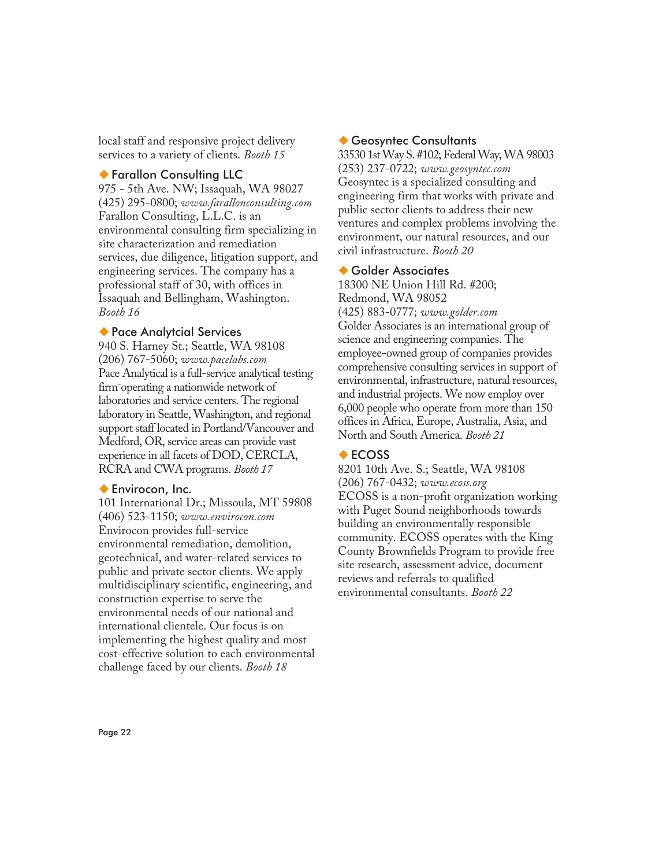local staff and responsive project delivery services to a variety of clients. *Booth 15*

#### -Farallon Consulting LLC

975 - 5th Ave. NW; Issaquah, WA 98027 (425) 295-0800; *www.farallonconsulting.com* Farallon Consulting, L.L.C. is an environmental consulting firm specializing in site characterization and remediation services, due diligence, litigation support, and engineering services. The company has a professional staff of 30, with offices in Issaquah and Bellingham, Washington. *Booth 16*

#### -Pace Analytcial Services

940 S. Harney St.; Seattle, WA 98108 (206) 767-5060; *www.pacelabs.com* Pace Analytical is a full-service analytical testing firm¯operating a nationwide network of laboratories and service centers. The regional laboratory in Seattle, Washington, and regional support staff located in Portland/Vancouver and Medford, OR, service areas can provide vast experience in all facets of DOD, CERCLA, RCRA and CWA programs. *Booth 17*

#### ◆ Envirocon, Inc.

101 International Dr.; Missoula, MT 59808 (406) 523-1150; *www.envirocon.com* Envirocon provides full-service environmental remediation, demolition, geotechnical, and water-related services to public and private sector clients. We apply multidisciplinary scientific, engineering, and construction expertise to serve the environmental needs of our national and international clientele. Our focus is on implementing the highest quality and most cost-effective solution to each environmental challenge faced by our clients. *Booth 18*

#### -Geosyntec Consultants

33530 1st Way S. #102; Federal Way, WA 98003 (253) 237-0722; *www.geosyntec.com* Geosyntec is a specialized consulting and engineering firm that works with private and public sector clients to address their new ventures and complex problems involving the environment, our natural resources, and our civil infrastructure. *Booth 20*

#### ◆ Golder Associates

18300 NE Union Hill Rd. #200; Redmond, WA 98052 (425) 883-0777; *www.golder.com* Golder Associates is an international group of science and engineering companies. The employee-owned group of companies provides comprehensive consulting services in support of environmental, infrastructure, natural resources, and industrial projects. We now employ over 6,000 people who operate from more than 150 offices in Africa, Europe, Australia, Asia, and North and South America. *Booth 21*

#### ◆ ECOSS

8201 10th Ave. S.; Seattle, WA 98108 (206) 767-0432; *www.ecoss.org* ECOSS is a non-profit organization working with Puget Sound neighborhoods towards building an environmentally responsible community. ECOSS operates with the King County Brownfields Program to provide free site research, assessment advice, document reviews and referrals to qualified environmental consultants. *Booth 22*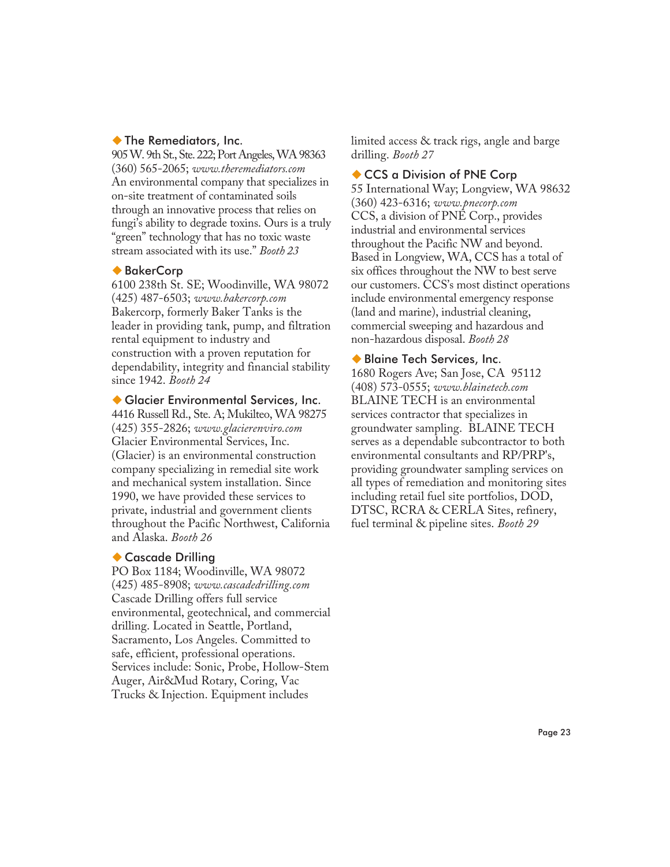#### -The Remediators, Inc.

905 W. 9th St., Ste. 222; Port Angeles, WA 98363 (360) 565-2065; *www.theremediators.com* An environmental company that specializes in on-site treatment of contaminated soils through an innovative process that relies on fungi's ability to degrade toxins. Ours is a truly "green" technology that has no toxic waste stream associated with its use." *Booth 23*

#### ◆ BakerCorp

6100 238th St. SE; Woodinville, WA 98072 (425) 487-6503; *www.bakercorp.com* Bakercorp, formerly Baker Tanks is the leader in providing tank, pump, and filtration rental equipment to industry and construction with a proven reputation for dependability, integrity and financial stability since 1942. *Booth 24*

-Glacier Environmental Services, Inc.

4416 Russell Rd., Ste. A; Mukilteo, WA 98275 (425) 355-2826; *www.glacierenviro.com* Glacier Environmental Services, Inc. (Glacier) is an environmental construction company specializing in remedial site work and mechanical system installation. Since 1990, we have provided these services to private, industrial and government clients throughout the Pacific Northwest, California and Alaska. *Booth 26*

#### ◆ Cascade Drilling

PO Box 1184; Woodinville, WA 98072 (425) 485-8908; *www.cascadedrilling.com* Cascade Drilling offers full service environmental, geotechnical, and commercial drilling. Located in Seattle, Portland, Sacramento, Los Angeles. Committed to safe, efficient, professional operations. Services include: Sonic, Probe, Hollow-Stem Auger, Air&Mud Rotary, Coring, Vac Trucks & Injection. Equipment includes

limited access & track rigs, angle and barge drilling. *Booth 27*

#### ◆ CCS a Division of PNE Corp

55 International Way; Longview, WA 98632 (360) 423-6316; *www.pnecorp.com* CCS, a division of PNE Corp., provides industrial and environmental services throughout the Pacific NW and beyond. Based in Longview, WA, CCS has a total of six offices throughout the NW to best serve our customers. CCS's most distinct operations include environmental emergency response (land and marine), industrial cleaning, commercial sweeping and hazardous and non-hazardous disposal. *Booth 28*

#### -Blaine Tech Services, Inc. 1680 Rogers Ave; San Jose, CA 95112 (408) 573-0555; *www.blainetech.com* BLAINE TECH is an environmental services contractor that specializes in groundwater sampling. BLAINE TECH serves as a dependable subcontractor to both environmental consultants and RP/PRP's, providing groundwater sampling services on all types of remediation and monitoring sites including retail fuel site portfolios, DOD, DTSC, RCRA & CERLA Sites, refinery, fuel terminal & pipeline sites. *Booth 29*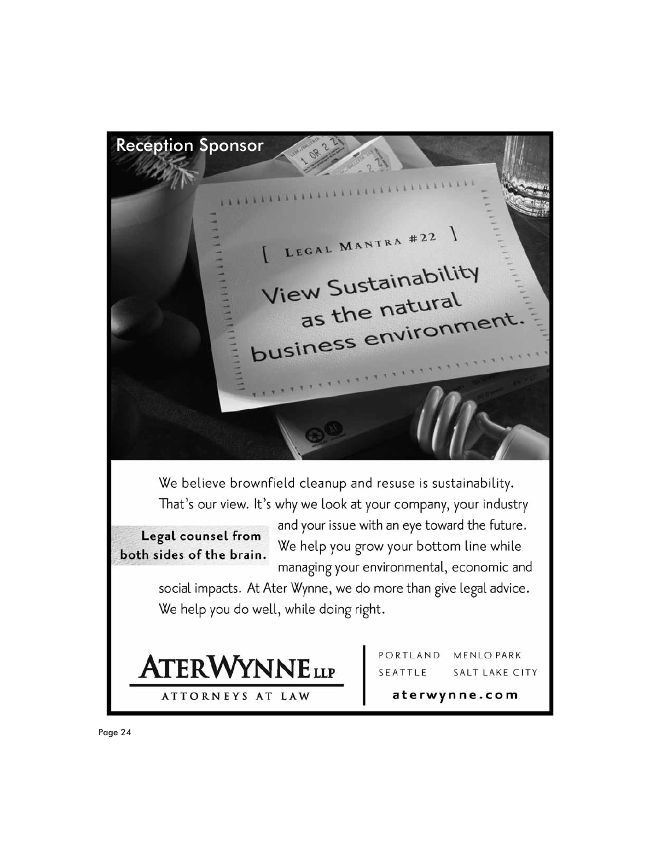Reception Sponsor **A K K K A A A A A A A A A** LEGAL MANTRA #22 \ View Sustainability  $\frac{1}{100}$  as the natural as the naturement We believe brownfield cleanup and resuse is sustainability. That's our view. It's why we look at your company, your industry and your issue with an eye toward the future. Legal counsel from We help you grow your bottom line while both sides of the brain. managing your environmental, economic and social impacts. At Ater Wynne, we do more than give legal advice. We help you do well, while doing right. PORTLAND MENLO PARK **ATERWYNNELLP** SEATTLE SALT LAKE CITY aterwynne.com **ATTORNEYS AT LAW**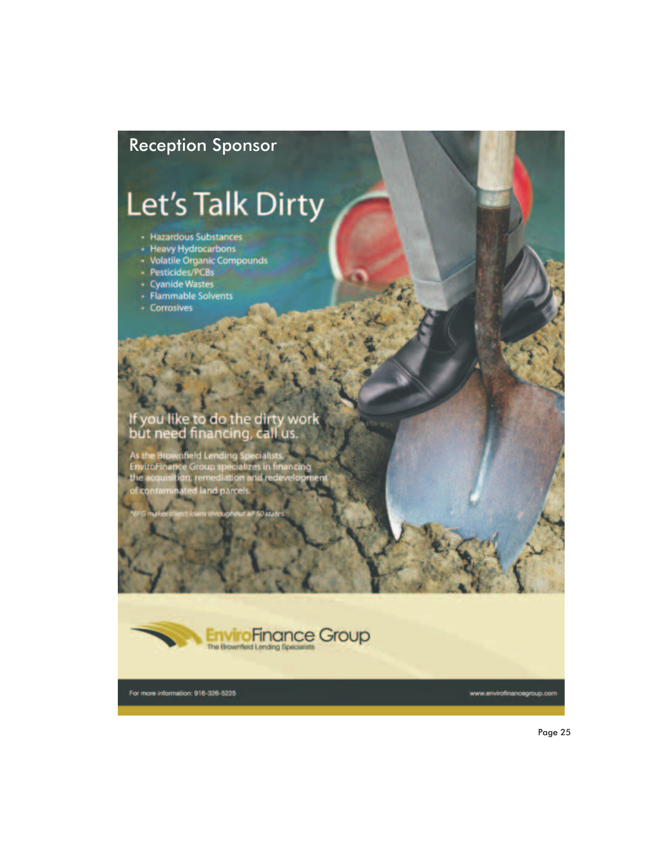## Reception Sponsor

# Let's Talk Dirty

- 
- 
- Hazardous Substances<br>- Heavy Hydrocarbons<br>- Volatile Organic Compounds<br>- Pesticides/PCBs<br>- Cyanide Wastes<br>- Flammable Solvents
- 
- 
- 
- Corrosives

## If you like to do the dirty work<br>but need financing, call us.

rownfield Lending Specialists.<br>nance Group specializes in financing namo<br>Iisitio L remediatio ed land pa



For more information: 916-326-5225

www.envirofinancegroup.com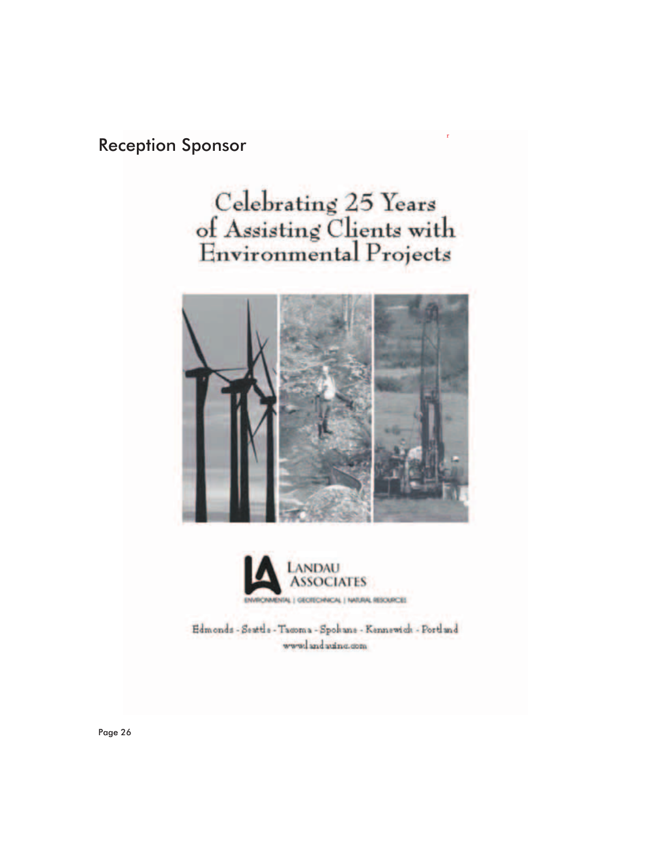## **Reception Sponsor**

# Celebrating 25 Years<br>of Assisting Clients with<br>Environmental Projects





Edmonds - Seattle - Tacoma - Spokane - Kennewick - Portland www.landauing.com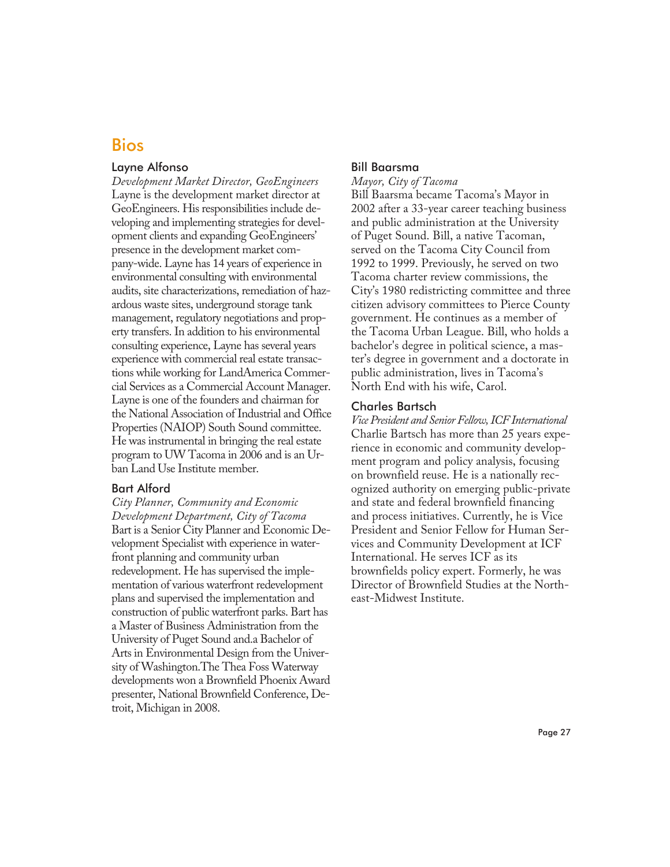## Bios

#### Layne Alfonso

*Development Market Director, GeoEngineers* Layne is the development market director at GeoEngineers. His responsibilities include developing and implementing strategies for development clients and expanding GeoEngineers' presence in the development market company-wide. Layne has 14 years of experience in environmental consulting with environmental audits, site characterizations, remediation of hazardous waste sites, underground storage tank management, regulatory negotiations and property transfers. In addition to his environmental consulting experience, Layne has several years experience with commercial real estate transactions while working for LandAmerica Commercial Services as a Commercial Account Manager. Layne is one of the founders and chairman for the National Association of Industrial and Office Properties (NAIOP) South Sound committee. He was instrumental in bringing the real estate program to UW Tacoma in 2006 and is an Urban Land Use Institute member.

#### Bart Alford

*City Planner, Community and Economic Development Department, City of Tacoma* Bart is a Senior City Planner and Economic Development Specialist with experience in waterfront planning and community urban redevelopment. He has supervised the implementation of various waterfront redevelopment plans and supervised the implementation and construction of public waterfront parks. Bart has a Master of Business Administration from the University of Puget Sound and.a Bachelor of Arts in Environmental Design from the University of Washington.The Thea Foss Waterway developments won a Brownfield Phoenix Award presenter, National Brownfield Conference, Detroit, Michigan in 2008.

#### Bill Baarsma

#### *Mayor, City of Tacoma*

Bill Baarsma became Tacoma's Mayor in 2002 after a 33-year career teaching business and public administration at the University of Puget Sound. Bill, a native Tacoman, served on the Tacoma City Council from 1992 to 1999. Previously, he served on two Tacoma charter review commissions, the City's 1980 redistricting committee and three citizen advisory committees to Pierce County government. He continues as a member of the Tacoma Urban League. Bill, who holds a bachelor's degree in political science, a master's degree in government and a doctorate in public administration, lives in Tacoma's North End with his wife, Carol.

#### Charles Bartsch

*Vice President and Senior Fellow, ICF International* Charlie Bartsch has more than 25 years experience in economic and community development program and policy analysis, focusing on brownfield reuse. He is a nationally recognized authority on emerging public-private and state and federal brownfield financing and process initiatives. Currently, he is Vice President and Senior Fellow for Human Services and Community Development at ICF International. He serves ICF as its brownfields policy expert. Formerly, he was Director of Brownfield Studies at the Northeast-Midwest Institute.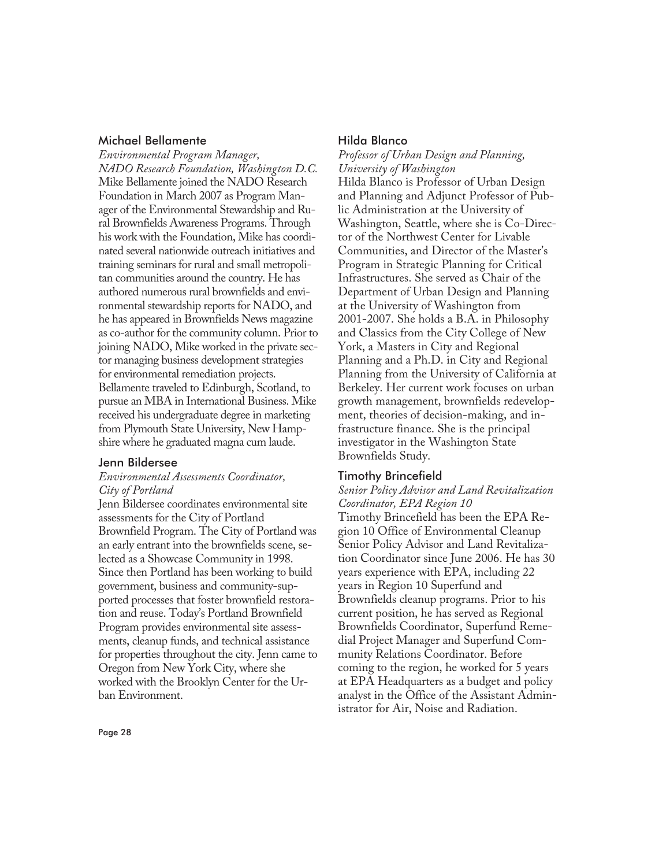#### Michael Bellamente

*Environmental Program Manager, NADO Research Foundation, Washington D.C.* Mike Bellamente joined the NADO Research Foundation in March 2007 as Program Manager of the Environmental Stewardship and Rural Brownfields Awareness Programs. Through his work with the Foundation, Mike has coordinated several nationwide outreach initiatives and training seminars for rural and small metropolitan communities around the country. He has authored numerous rural brownfields and environmental stewardship reports for NADO, and he has appeared in Brownfields News magazine as co-author for the community column. Prior to joining NADO, Mike worked in the private sector managing business development strategies for environmental remediation projects. Bellamente traveled to Edinburgh, Scotland, to pursue an MBA in International Business. Mike received his undergraduate degree in marketing from Plymouth State University, New Hampshire where he graduated magna cum laude.

#### Jenn Bildersee

#### *Environmental Assessments Coordinator, City of Portland*

Jenn Bildersee coordinates environmental site assessments for the City of Portland Brownfield Program. The City of Portland was an early entrant into the brownfields scene, selected as a Showcase Community in 1998. Since then Portland has been working to build government, business and community-supported processes that foster brownfield restoration and reuse. Today's Portland Brownfield Program provides environmental site assessments, cleanup funds, and technical assistance for properties throughout the city. Jenn came to Oregon from New York City, where she worked with the Brooklyn Center for the Urban Environment.

#### Hilda Blanco

*Professor of Urban Design and Planning, University of Washington* Hilda Blanco is Professor of Urban Design and Planning and Adjunct Professor of Public Administration at the University of Washington, Seattle, where she is Co-Director of the Northwest Center for Livable Communities, and Director of the Master's Program in Strategic Planning for Critical Infrastructures. She served as Chair of the Department of Urban Design and Planning at the University of Washington from 2001-2007. She holds a B.A. in Philosophy and Classics from the City College of New York, a Masters in City and Regional Planning and a Ph.D. in City and Regional Planning from the University of California at Berkeley. Her current work focuses on urban growth management, brownfields redevelopment, theories of decision-making, and infrastructure finance. She is the principal investigator in the Washington State Brownfields Study.

#### Timothy Brincefield

#### *Senior Policy Advisor and Land Revitalization Coordinator, EPA Region 10*

Timothy Brincefield has been the EPA Region 10 Office of Environmental Cleanup Senior Policy Advisor and Land Revitalization Coordinator since June 2006. He has 30 years experience with EPA, including 22 years in Region 10 Superfund and Brownfields cleanup programs. Prior to his current position, he has served as Regional Brownfields Coordinator, Superfund Remedial Project Manager and Superfund Community Relations Coordinator. Before coming to the region, he worked for 5 years at EPA Headquarters as a budget and policy analyst in the Office of the Assistant Administrator for Air, Noise and Radiation.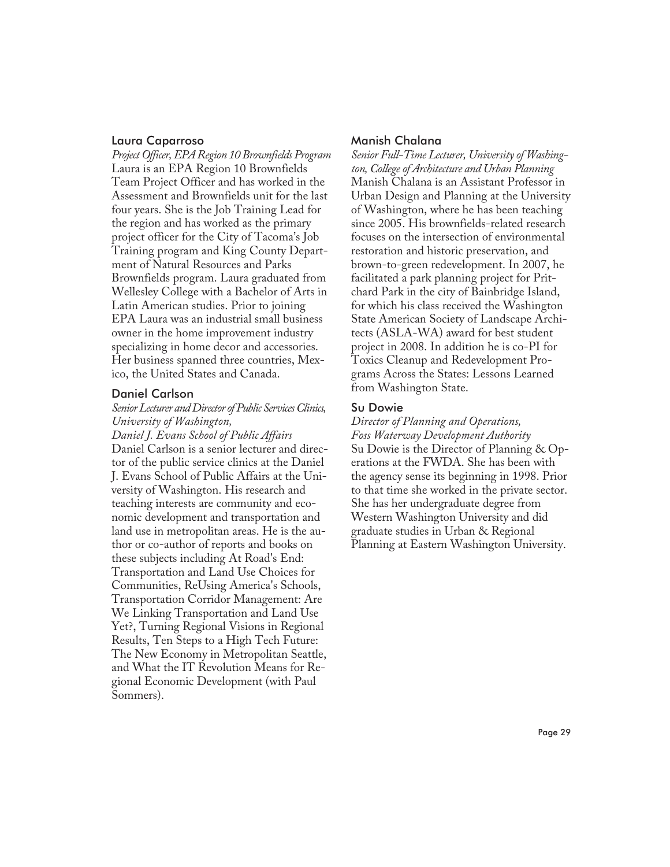#### Laura Caparroso

*Project Officer, EPA Region 10 Brownfields Program* Laura is an EPA Region 10 Brownfields Team Project Officer and has worked in the Assessment and Brownfields unit for the last four years. She is the Job Training Lead for the region and has worked as the primary project officer for the City of Tacoma's Job Training program and King County Department of Natural Resources and Parks Brownfields program. Laura graduated from Wellesley College with a Bachelor of Arts in Latin American studies. Prior to joining EPA Laura was an industrial small business owner in the home improvement industry specializing in home decor and accessories. Her business spanned three countries, Mexico, the United States and Canada.

#### Daniel Carlson

#### *Senior Lecturer and Director of Public Services Clinics, University of Washington,*

*Daniel J. Evans School of Public Affairs* Daniel Carlson is a senior lecturer and director of the public service clinics at the Daniel J. Evans School of Public Affairs at the University of Washington. His research and teaching interests are community and economic development and transportation and land use in metropolitan areas. He is the author or co-author of reports and books on these subjects including At Road's End: Transportation and Land Use Choices for Communities, ReUsing America's Schools, Transportation Corridor Management: Are We Linking Transportation and Land Use Yet?, Turning Regional Visions in Regional Results, Ten Steps to a High Tech Future: The New Economy in Metropolitan Seattle, and What the IT Revolution Means for Regional Economic Development (with Paul Sommers).

#### Manish Chalana

*Senior Full-Time Lecturer, University of Washington, College of Architecture and Urban Planning* Manish Chalana is an Assistant Professor in Urban Design and Planning at the University of Washington, where he has been teaching since 2005. His brownfields-related research focuses on the intersection of environmental restoration and historic preservation, and brown-to-green redevelopment. In 2007, he facilitated a park planning project for Pritchard Park in the city of Bainbridge Island, for which his class received the Washington State American Society of Landscape Architects (ASLA-WA) award for best student project in 2008. In addition he is co-PI for Toxics Cleanup and Redevelopment Programs Across the States: Lessons Learned from Washington State.

#### Su Dowie

*Director of Planning and Operations, Foss Waterway Development Authority* Su Dowie is the Director of Planning & Operations at the FWDA. She has been with the agency sense its beginning in 1998. Prior to that time she worked in the private sector. She has her undergraduate degree from Western Washington University and did graduate studies in Urban & Regional Planning at Eastern Washington University.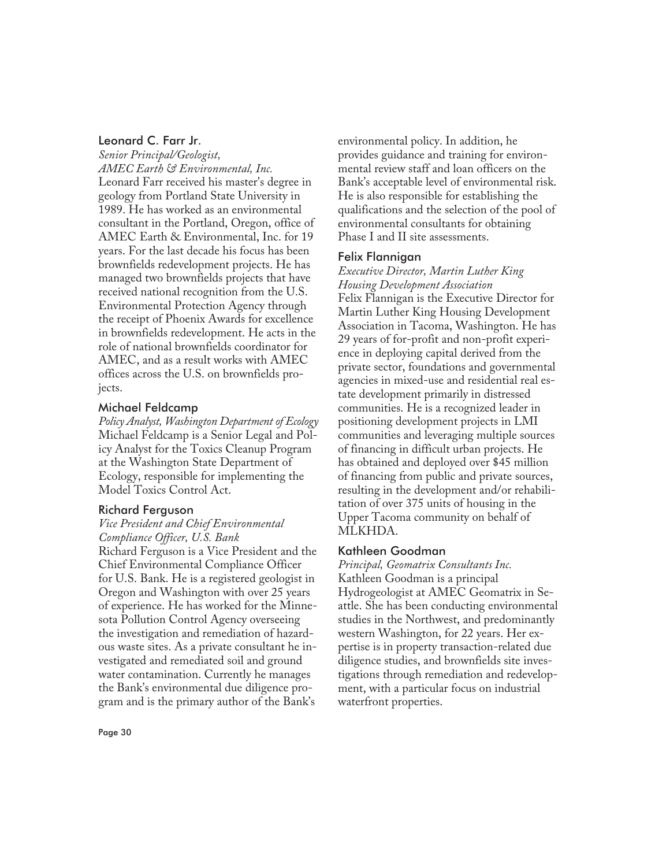#### Leonard C. Farr Jr.

*Senior Principal/Geologist, AMEC Earth & Environmental, Inc.* Leonard Farr received his master's degree in geology from Portland State University in 1989. He has worked as an environmental consultant in the Portland, Oregon, office of AMEC Earth & Environmental, Inc. for 19 years. For the last decade his focus has been brownfields redevelopment projects. He has managed two brownfields projects that have received national recognition from the U.S. Environmental Protection Agency through the receipt of Phoenix Awards for excellence in brownfields redevelopment. He acts in the role of national brownfields coordinator for AMEC, and as a result works with AMEC offices across the U.S. on brownfields projects.

#### Michael Feldcamp

*Policy Analyst, Washington Department of Ecology* Michael Feldcamp is a Senior Legal and Policy Analyst for the Toxics Cleanup Program at the Washington State Department of Ecology, responsible for implementing the Model Toxics Control Act.

#### Richard Ferguson

#### *Vice President and Chief Environmental Compliance Officer, U.S. Bank*

Richard Ferguson is a Vice President and the Chief Environmental Compliance Officer for U.S. Bank. He is a registered geologist in Oregon and Washington with over 25 years of experience. He has worked for the Minnesota Pollution Control Agency overseeing the investigation and remediation of hazardous waste sites. As a private consultant he investigated and remediated soil and ground water contamination. Currently he manages the Bank's environmental due diligence program and is the primary author of the Bank's

environmental policy. In addition, he provides guidance and training for environmental review staff and loan officers on the Bank's acceptable level of environmental risk. He is also responsible for establishing the qualifications and the selection of the pool of environmental consultants for obtaining Phase I and II site assessments.

#### Felix Flannigan

#### *Executive Director, Martin Luther King Housing Development Association*

Felix Flannigan is the Executive Director for Martin Luther King Housing Development Association in Tacoma, Washington. He has 29 years of for-profit and non-profit experience in deploying capital derived from the private sector, foundations and governmental agencies in mixed-use and residential real estate development primarily in distressed communities. He is a recognized leader in positioning development projects in LMI communities and leveraging multiple sources of financing in difficult urban projects. He has obtained and deployed over \$45 million of financing from public and private sources, resulting in the development and/or rehabilitation of over 375 units of housing in the Upper Tacoma community on behalf of MLKHDA.

#### Kathleen Goodman

*Principal, Geomatrix Consultants Inc.* Kathleen Goodman is a principal Hydrogeologist at AMEC Geomatrix in Seattle. She has been conducting environmental studies in the Northwest, and predominantly western Washington, for 22 years. Her expertise is in property transaction-related due diligence studies, and brownfields site investigations through remediation and redevelopment, with a particular focus on industrial waterfront properties.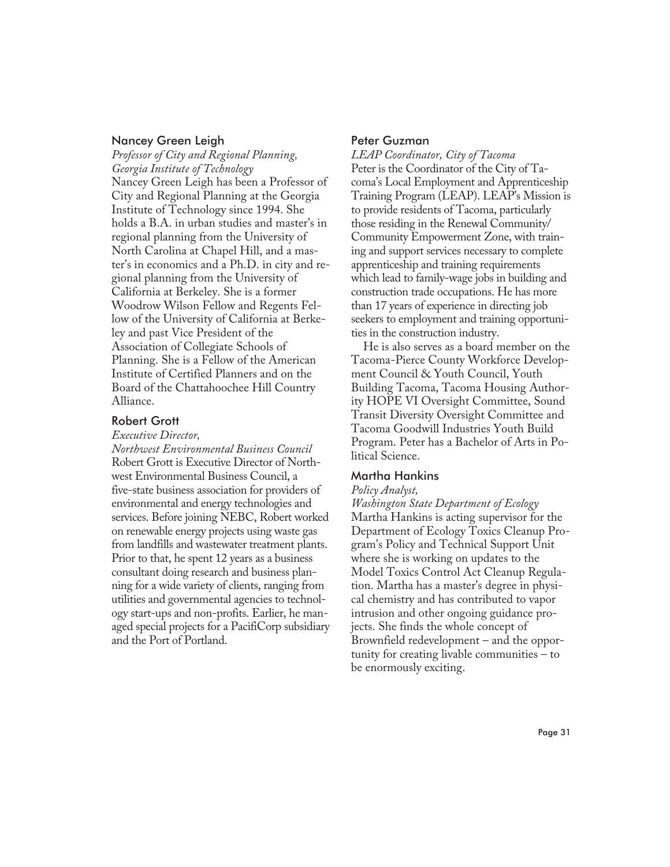#### Nancey Green Leigh

*Professor of City and Regional Planning, Georgia Institute of Technology* Nancey Green Leigh has been a Professor of City and Regional Planning at the Georgia Institute of Technology since 1994. She holds a B.A. in urban studies and master's in regional planning from the University of North Carolina at Chapel Hill, and a master's in economics and a Ph.D. in city and regional planning from the University of California at Berkeley. She is a former Woodrow Wilson Fellow and Regents Fellow of the University of California at Berkeley and past Vice President of the Association of Collegiate Schools of Planning. She is a Fellow of the American Institute of Certified Planners and on the Board of the Chattahoochee Hill Country Alliance.

#### Robert Grott

*Executive Director,*

*Northwest Environmental Business Council* Robert Grott is Executive Director of Northwest Environmental Business Council, a five-state business association for providers of environmental and energy technologies and services. Before joining NEBC, Robert worked on renewable energy projects using waste gas from landfills and wastewater treatment plants. Prior to that, he spent 12 years as a business consultant doing research and business planning for a wide variety of clients, ranging from utilities and governmental agencies to technology start-ups and non-profits. Earlier, he managed special projects for a PacifiCorp subsidiary and the Port of Portland.

#### Peter Guzman

*LEAP Coordinator, City of Tacoma* Peter is the Coordinator of the City of Tacoma's Local Employment and Apprenticeship Training Program (LEAP). LEAP's Mission is to provide residents of Tacoma, particularly those residing in the Renewal Community/ Community Empowerment Zone, with training and support services necessary to complete apprenticeship and training requirements which lead to family-wage jobs in building and construction trade occupations. He has more than 17 years of experience in directing job seekers to employment and training opportunities in the construction industry.

He is also serves as a board member on the Tacoma-Pierce County Workforce Development Council & Youth Council, Youth Building Tacoma, Tacoma Housing Authority HOPE VI Oversight Committee, Sound Transit Diversity Oversight Committee and Tacoma Goodwill Industries Youth Build Program. Peter has a Bachelor of Arts in Political Science.

#### Martha Hankins

#### *Policy Analyst,*

*Washington State Department of Ecology* Martha Hankins is acting supervisor for the Department of Ecology Toxics Cleanup Program's Policy and Technical Support Unit where she is working on updates to the Model Toxics Control Act Cleanup Regulation. Martha has a master's degree in physical chemistry and has contributed to vapor intrusion and other ongoing guidance projects. She finds the whole concept of Brownfield redevelopment – and the opportunity for creating livable communities – to be enormously exciting.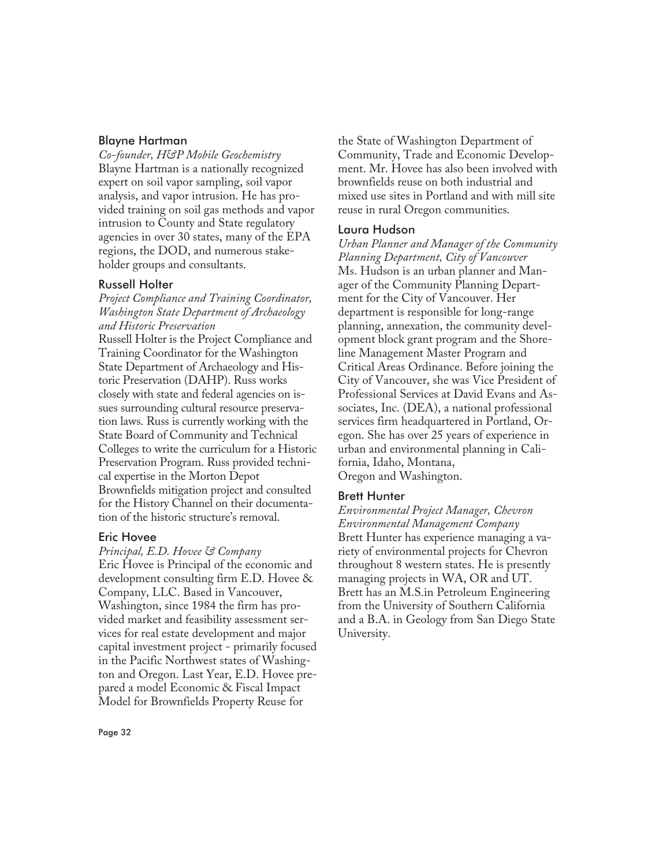#### Blayne Hartman

*Co-founder, H&P Mobile Geochemistry* Blayne Hartman is a nationally recognized expert on soil vapor sampling, soil vapor analysis, and vapor intrusion. He has provided training on soil gas methods and vapor intrusion to County and State regulatory agencies in over 30 states, many of the EPA regions, the DOD, and numerous stakeholder groups and consultants.

#### Russell Holter

*Project Compliance and Training Coordinator, Washington State Department of Archaeology and Historic Preservation*

Russell Holter is the Project Compliance and Training Coordinator for the Washington State Department of Archaeology and Historic Preservation (DAHP). Russ works closely with state and federal agencies on issues surrounding cultural resource preservation laws. Russ is currently working with the State Board of Community and Technical Colleges to write the curriculum for a Historic Preservation Program. Russ provided technical expertise in the Morton Depot Brownfields mitigation project and consulted for the History Channel on their documentation of the historic structure's removal.

#### Eric Hovee

*Principal, E.D. Hovee & Company* Eric Hovee is Principal of the economic and development consulting firm E.D. Hovee & Company, LLC. Based in Vancouver, Washington, since 1984 the firm has provided market and feasibility assessment services for real estate development and major capital investment project - primarily focused in the Pacific Northwest states of Washington and Oregon. Last Year, E.D. Hovee prepared a model Economic & Fiscal Impact Model for Brownfields Property Reuse for

the State of Washington Department of Community, Trade and Economic Development. Mr. Hovee has also been involved with brownfields reuse on both industrial and mixed use sites in Portland and with mill site reuse in rural Oregon communities.

#### Laura Hudson

*Urban Planner and Manager of the Community Planning Department, City of Vancouver* Ms. Hudson is an urban planner and Manager of the Community Planning Department for the City of Vancouver. Her department is responsible for long-range planning, annexation, the community development block grant program and the Shoreline Management Master Program and Critical Areas Ordinance. Before joining the City of Vancouver, she was Vice President of Professional Services at David Evans and Associates, Inc. (DEA), a national professional services firm headquartered in Portland, Oregon. She has over 25 years of experience in urban and environmental planning in California, Idaho, Montana, Oregon and Washington.

#### Brett Hunter

*Environmental Project Manager, Chevron Environmental Management Company* Brett Hunter has experience managing a variety of environmental projects for Chevron throughout 8 western states. He is presently managing projects in WA, OR and UT. Brett has an M.S.in Petroleum Engineering from the University of Southern California and a B.A. in Geology from San Diego State University.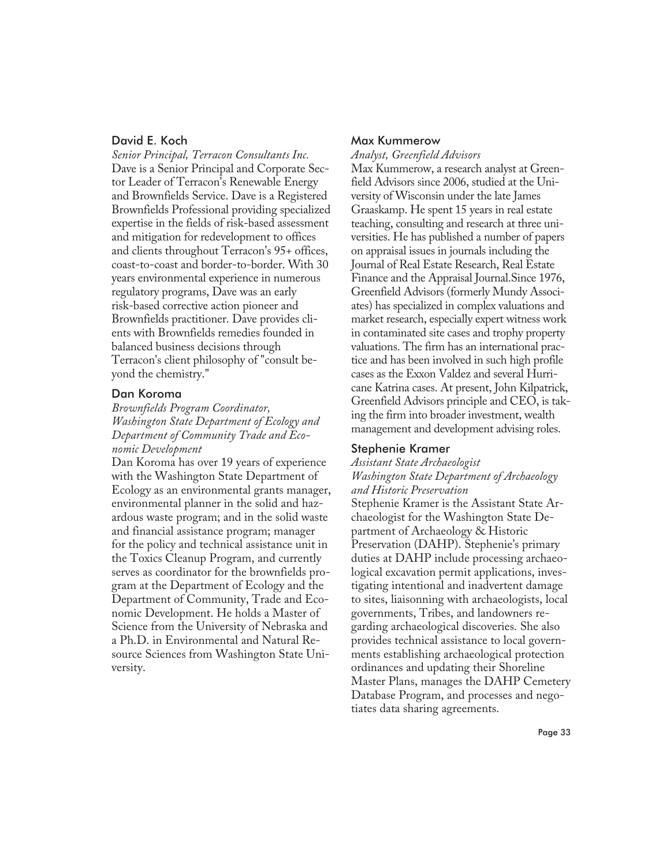#### David E. Koch

*Senior Principal, Terracon Consultants Inc.* Dave is a Senior Principal and Corporate Sector Leader of Terracon's Renewable Energy and Brownfields Service. Dave is a Registered Brownfields Professional providing specialized expertise in the fields of risk-based assessment and mitigation for redevelopment to offices and clients throughout Terracon's 95+ offices, coast-to-coast and border-to-border. With 30 years environmental experience in numerous regulatory programs, Dave was an early risk-based corrective action pioneer and Brownfields practitioner. Dave provides clients with Brownfields remedies founded in balanced business decisions through Terracon's client philosophy of "consult beyond the chemistry."

#### Dan Koroma

*Brownfields Program Coordinator, Washington State Department of Ecology and Department of Community Trade and Economic Development*

Dan Koroma has over 19 years of experience with the Washington State Department of Ecology as an environmental grants manager, environmental planner in the solid and hazardous waste program; and in the solid waste and financial assistance program; manager for the policy and technical assistance unit in the Toxics Cleanup Program, and currently serves as coordinator for the brownfields program at the Department of Ecology and the Department of Community, Trade and Economic Development. He holds a Master of Science from the University of Nebraska and a Ph.D. in Environmental and Natural Resource Sciences from Washington State University.

#### Max Kummerow

*Analyst, Greenfield Advisors*

Max Kummerow, a research analyst at Greenfield Advisors since 2006, studied at the University of Wisconsin under the late James Graaskamp. He spent 15 years in real estate teaching, consulting and research at three universities. He has published a number of papers on appraisal issues in journals including the Journal of Real Estate Research, Real Estate Finance and the Appraisal Journal.Since 1976, Greenfield Advisors (formerly Mundy Associates) has specialized in complex valuations and market research, especially expert witness work in contaminated site cases and trophy property valuations. The firm has an international practice and has been involved in such high profile cases as the Exxon Valdez and several Hurricane Katrina cases. At present, John Kilpatrick, Greenfield Advisors principle and CEO, is taking the firm into broader investment, wealth management and development advising roles.

#### Stephenie Kramer

#### *Assistant State Archaeologist*

*Washington State Department of Archaeology and Historic Preservation*

Stephenie Kramer is the Assistant State Archaeologist for the Washington State Department of Archaeology & Historic Preservation (DAHP). Stephenie's primary duties at DAHP include processing archaeological excavation permit applications, investigating intentional and inadvertent damage to sites, liaisonning with archaeologists, local governments, Tribes, and landowners regarding archaeological discoveries. She also provides technical assistance to local governments establishing archaeological protection ordinances and updating their Shoreline Master Plans, manages the DAHP Cemetery Database Program, and processes and negotiates data sharing agreements.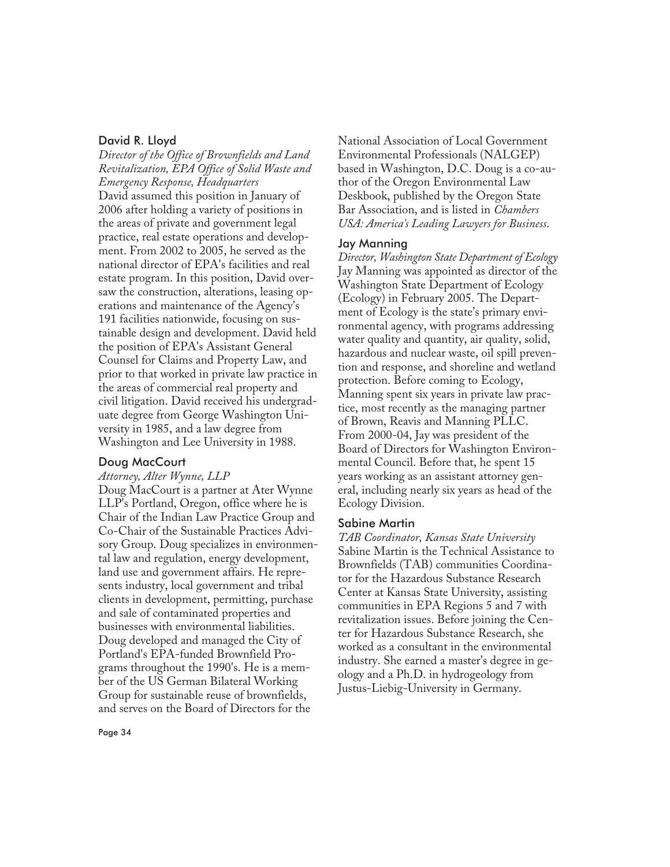#### David R. Lloyd

*Director of the Office of Brownfields and Land Revitalization, EPA Office of Solid Waste and Emergency Response, Headquarters* David assumed this position in January of 2006 after holding a variety of positions in the areas of private and government legal practice, real estate operations and development. From 2002 to 2005, he served as the national director of EPA's facilities and real estate program. In this position, David oversaw the construction, alterations, leasing operations and maintenance of the Agency's 191 facilities nationwide, focusing on sustainable design and development. David held the position of EPA's Assistant General Counsel for Claims and Property Law, and prior to that worked in private law practice in the areas of commercial real property and civil litigation. David received his undergraduate degree from George Washington University in 1985, and a law degree from Washington and Lee University in 1988.

#### Doug MacCourt

#### *Attorney, Alter Wynne, LLP*

Doug MacCourt is a partner at Ater Wynne LLP's Portland, Oregon, office where he is Chair of the Indian Law Practice Group and Co-Chair of the Sustainable Practices Advisory Group. Doug specializes in environmental law and regulation, energy development, land use and government affairs. He represents industry, local government and tribal clients in development, permitting, purchase and sale of contaminated properties and businesses with environmental liabilities. Doug developed and managed the City of Portland's EPA-funded Brownfield Programs throughout the 1990's. He is a member of the US German Bilateral Working Group for sustainable reuse of brownfields, and serves on the Board of Directors for the

National Association of Local Government Environmental Professionals (NALGEP) based in Washington, D.C. Doug is a co-author of the Oregon Environmental Law Deskbook, published by the Oregon State Bar Association, and is listed in *Chambers USA: America's Leading Lawyers for Business*.

#### Jay Manning

*Director, Washington State Department of Ecology* Jay Manning was appointed as director of the Washington State Department of Ecology (Ecology) in February 2005. The Department of Ecology is the state's primary environmental agency, with programs addressing water quality and quantity, air quality, solid, hazardous and nuclear waste, oil spill prevention and response, and shoreline and wetland protection. Before coming to Ecology, Manning spent six years in private law practice, most recently as the managing partner of Brown, Reavis and Manning PLLC. From 2000-04, Jay was president of the Board of Directors for Washington Environmental Council. Before that, he spent 15 years working as an assistant attorney general, including nearly six years as head of the Ecology Division.

#### Sabine Martin

*TAB Coordinator, Kansas State University* Sabine Martin is the Technical Assistance to Brownfields (TAB) communities Coordinator for the Hazardous Substance Research Center at Kansas State University, assisting communities in EPA Regions 5 and 7 with revitalization issues. Before joining the Center for Hazardous Substance Research, she worked as a consultant in the environmental industry. She earned a master's degree in geology and a Ph.D. in hydrogeology from Justus-Liebig-University in Germany.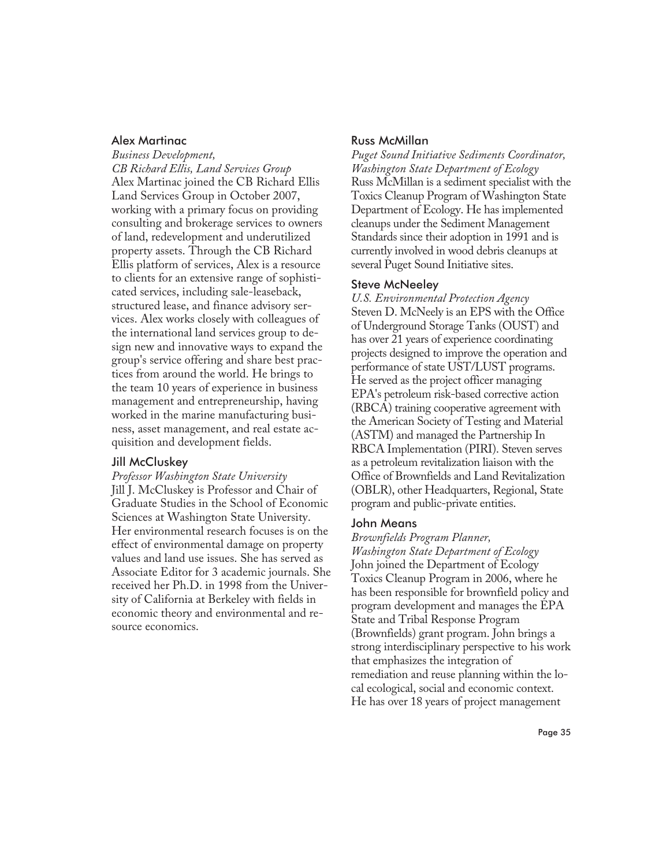#### Alex Martinac

*Business Development, CB Richard Ellis, Land Services Group* Alex Martinac joined the CB Richard Ellis Land Services Group in October 2007, working with a primary focus on providing consulting and brokerage services to owners of land, redevelopment and underutilized property assets. Through the CB Richard Ellis platform of services, Alex is a resource to clients for an extensive range of sophisticated services, including sale-leaseback, structured lease, and finance advisory services. Alex works closely with colleagues of the international land services group to design new and innovative ways to expand the group's service offering and share best practices from around the world. He brings to the team 10 years of experience in business management and entrepreneurship, having worked in the marine manufacturing business, asset management, and real estate acquisition and development fields.

#### Jill McCluskey

*Professor Washington State University* Jill J. McCluskey is Professor and Chair of Graduate Studies in the School of Economic Sciences at Washington State University. Her environmental research focuses is on the effect of environmental damage on property values and land use issues. She has served as Associate Editor for 3 academic journals. She received her Ph.D. in 1998 from the University of California at Berkeley with fields in economic theory and environmental and resource economics.

#### Russ McMillan

*Puget Sound Initiative Sediments Coordinator, Washington State Department of Ecology* Russ McMillan is a sediment specialist with the Toxics Cleanup Program of Washington State Department of Ecology. He has implemented cleanups under the Sediment Management Standards since their adoption in 1991 and is currently involved in wood debris cleanups at several Puget Sound Initiative sites.

#### Steve McNeeley

*U.S. Environmental Protection Agency* Steven D. McNeely is an EPS with the Office of Underground Storage Tanks (OUST) and has over 21 years of experience coordinating projects designed to improve the operation and performance of state UST/LUST programs. He served as the project officer managing EPA's petroleum risk-based corrective action (RBCA) training cooperative agreement with the American Society of Testing and Material (ASTM) and managed the Partnership In RBCA Implementation (PIRI). Steven serves as a petroleum revitalization liaison with the Office of Brownfields and Land Revitalization (OBLR), other Headquarters, Regional, State program and public-private entities.

#### John Means

*Brownfields Program Planner, Washington State Department of Ecology* John joined the Department of Ecology Toxics Cleanup Program in 2006, where he has been responsible for brownfield policy and program development and manages the EPA State and Tribal Response Program (Brownfields) grant program. John brings a strong interdisciplinary perspective to his work that emphasizes the integration of remediation and reuse planning within the local ecological, social and economic context. He has over 18 years of project management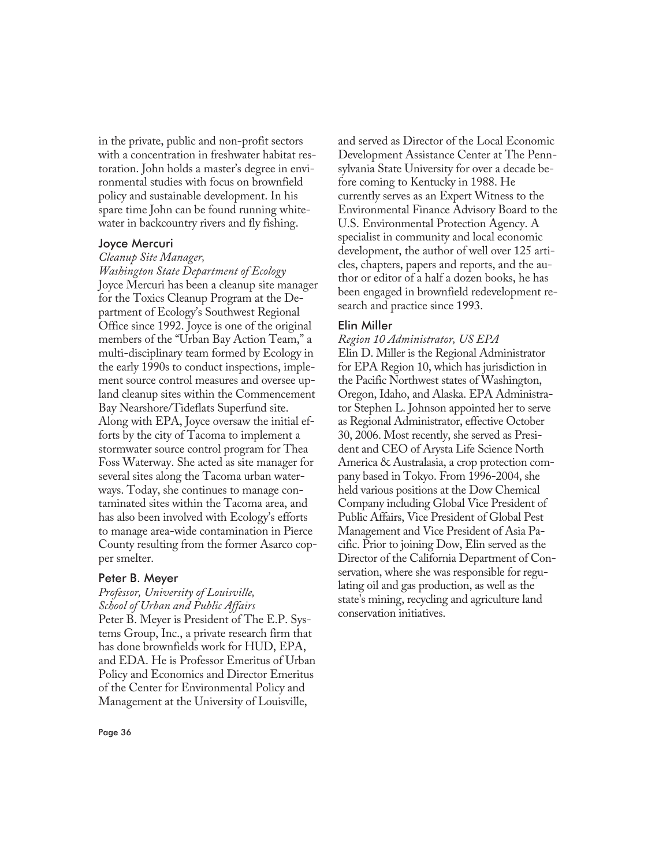in the private, public and non-profit sectors with a concentration in freshwater habitat restoration. John holds a master's degree in environmental studies with focus on brownfield policy and sustainable development. In his spare time John can be found running whitewater in backcountry rivers and fly fishing.

#### Joyce Mercuri

#### *Cleanup Site Manager,*

*Washington State Department of Ecology* Joyce Mercuri has been a cleanup site manager for the Toxics Cleanup Program at the Department of Ecology's Southwest Regional Office since 1992. Joyce is one of the original members of the "Urban Bay Action Team," a multi-disciplinary team formed by Ecology in the early 1990s to conduct inspections, implement source control measures and oversee upland cleanup sites within the Commencement Bay Nearshore/Tideflats Superfund site. Along with EPA, Joyce oversaw the initial efforts by the city of Tacoma to implement a stormwater source control program for Thea Foss Waterway. She acted as site manager for several sites along the Tacoma urban waterways. Today, she continues to manage contaminated sites within the Tacoma area, and has also been involved with Ecology's efforts to manage area-wide contamination in Pierce County resulting from the former Asarco copper smelter.

#### Peter B. Meyer

*Professor, University of Louisville, School of Urban and Public Affairs* Peter B. Meyer is President of The E.P. Systems Group, Inc., a private research firm that has done brownfields work for HUD, EPA, and EDA. He is Professor Emeritus of Urban Policy and Economics and Director Emeritus of the Center for Environmental Policy and Management at the University of Louisville,

and served as Director of the Local Economic Development Assistance Center at The Pennsylvania State University for over a decade before coming to Kentucky in 1988. He currently serves as an Expert Witness to the Environmental Finance Advisory Board to the U.S. Environmental Protection Agency. A specialist in community and local economic development, the author of well over 125 articles, chapters, papers and reports, and the author or editor of a half a dozen books, he has been engaged in brownfield redevelopment research and practice since 1993.

#### Elin Miller

## *Region 10 Administrator, US EPA*

Elin D. Miller is the Regional Administrator for EPA Region 10, which has jurisdiction in the Pacific Northwest states of Washington, Oregon, Idaho, and Alaska. EPA Administrator Stephen L. Johnson appointed her to serve as Regional Administrator, effective October 30, 2006. Most recently, she served as President and CEO of Arysta Life Science North America & Australasia, a crop protection company based in Tokyo. From 1996-2004, she held various positions at the Dow Chemical Company including Global Vice President of Public Affairs, Vice President of Global Pest Management and Vice President of Asia Pacific. Prior to joining Dow, Elin served as the Director of the California Department of Conservation, where she was responsible for regulating oil and gas production, as well as the state's mining, recycling and agriculture land conservation initiatives.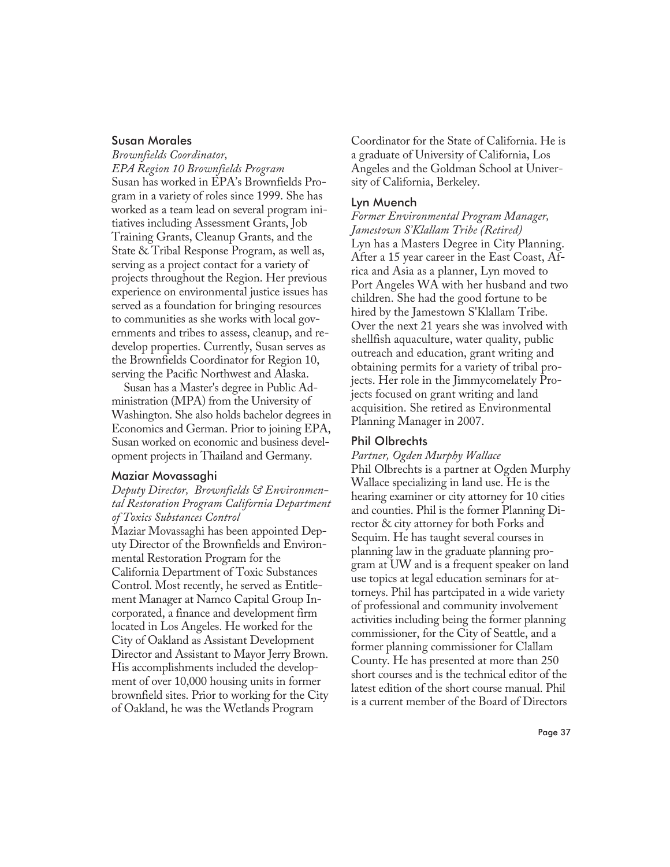#### Susan Morales

*Brownfields Coordinator, EPA Region 10 Brownfields Program* Susan has worked in EPA's Brownfields Program in a variety of roles since 1999. She has worked as a team lead on several program initiatives including Assessment Grants, Job Training Grants, Cleanup Grants, and the State & Tribal Response Program, as well as, serving as a project contact for a variety of projects throughout the Region. Her previous experience on environmental justice issues has served as a foundation for bringing resources to communities as she works with local governments and tribes to assess, cleanup, and redevelop properties. Currently, Susan serves as the Brownfields Coordinator for Region 10, serving the Pacific Northwest and Alaska.

Susan has a Master's degree in Public Administration (MPA) from the University of Washington. She also holds bachelor degrees in Economics and German. Prior to joining EPA, Susan worked on economic and business development projects in Thailand and Germany.

#### Maziar Movassaghi

*Deputy Director, Brownfields & Environmental Restoration Program California Department of Toxics Substances Control*

Maziar Movassaghi has been appointed Deputy Director of the Brownfields and Environmental Restoration Program for the California Department of Toxic Substances Control. Most recently, he served as Entitlement Manager at Namco Capital Group Incorporated, a finance and development firm located in Los Angeles. He worked for the City of Oakland as Assistant Development Director and Assistant to Mayor Jerry Brown. His accomplishments included the development of over 10,000 housing units in former brownfield sites. Prior to working for the City of Oakland, he was the Wetlands Program

Coordinator for the State of California. He is a graduate of University of California, Los Angeles and the Goldman School at University of California, Berkeley.

#### Lyn Muench

*Former Environmental Program Manager, Jamestown S'Klallam Tribe (Retired)* Lyn has a Masters Degree in City Planning. After a 15 year career in the East Coast, Africa and Asia as a planner, Lyn moved to Port Angeles WA with her husband and two children. She had the good fortune to be hired by the Jamestown S'Klallam Tribe. Over the next 21 years she was involved with shellfish aquaculture, water quality, public outreach and education, grant writing and obtaining permits for a variety of tribal projects. Her role in the Jimmycomelately Projects focused on grant writing and land acquisition. She retired as Environmental Planning Manager in 2007.

#### Phil Olbrechts

*Partner, Ogden Murphy Wallace*

Phil Olbrechts is a partner at Ogden Murphy Wallace specializing in land use. He is the hearing examiner or city attorney for 10 cities and counties. Phil is the former Planning Director & city attorney for both Forks and Sequim. He has taught several courses in planning law in the graduate planning program at UW and is a frequent speaker on land use topics at legal education seminars for attorneys. Phil has partcipated in a wide variety of professional and community involvement activities including being the former planning commissioner, for the City of Seattle, and a former planning commissioner for Clallam County. He has presented at more than 250 short courses and is the technical editor of the latest edition of the short course manual. Phil is a current member of the Board of Directors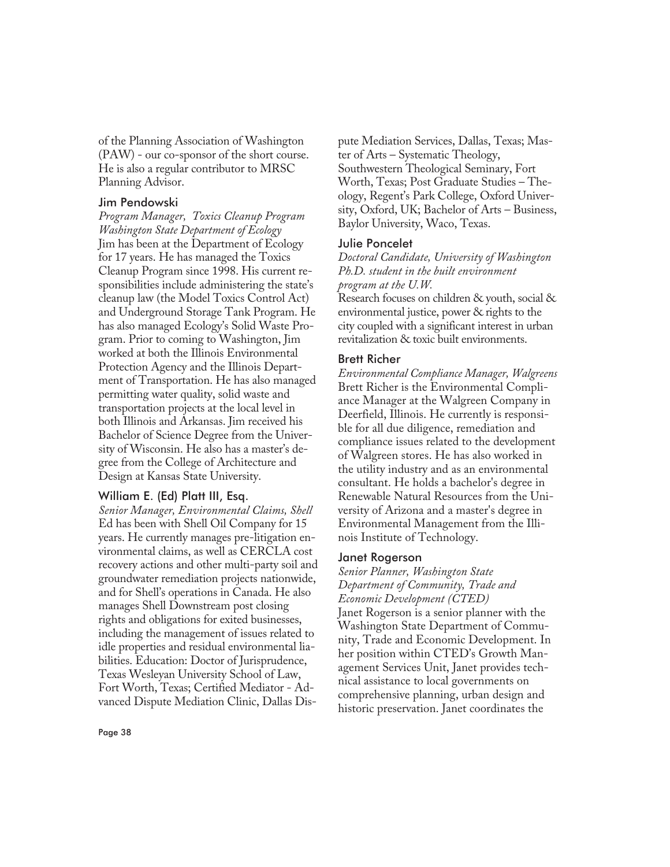of the Planning Association of Washington (PAW) - our co-sponsor of the short course. He is also a regular contributor to MRSC Planning Advisor.

#### Jim Pendowski

*Program Manager, Toxics Cleanup Program Washington State Department of Ecology* Jim has been at the Department of Ecology for 17 years. He has managed the Toxics Cleanup Program since 1998. His current responsibilities include administering the state's cleanup law (the Model Toxics Control Act) and Underground Storage Tank Program. He has also managed Ecology's Solid Waste Program. Prior to coming to Washington, Jim worked at both the Illinois Environmental Protection Agency and the Illinois Department of Transportation. He has also managed permitting water quality, solid waste and transportation projects at the local level in both Illinois and Arkansas. Jim received his Bachelor of Science Degree from the University of Wisconsin. He also has a master's degree from the College of Architecture and Design at Kansas State University.

#### William E. (Ed) Platt III, Esq.

*Senior Manager, Environmental Claims, Shell* Ed has been with Shell Oil Company for 15 years. He currently manages pre-litigation environmental claims, as well as CERCLA cost recovery actions and other multi-party soil and groundwater remediation projects nationwide, and for Shell's operations in Canada. He also manages Shell Downstream post closing rights and obligations for exited businesses, including the management of issues related to idle properties and residual environmental liabilities. Education: Doctor of Jurisprudence, Texas Wesleyan University School of Law, Fort Worth, Texas; Certified Mediator - Advanced Dispute Mediation Clinic, Dallas Dispute Mediation Services, Dallas, Texas; Master of Arts – Systematic Theology, Southwestern Theological Seminary, Fort Worth, Texas; Post Graduate Studies – Theology, Regent's Park College, Oxford University, Oxford, UK; Bachelor of Arts – Business, Baylor University, Waco, Texas.

#### Julie Poncelet

*Doctoral Candidate, University of Washington Ph.D. student in the built environment program at the U.W.*

Research focuses on children & youth, social & environmental justice, power & rights to the city coupled with a significant interest in urban revitalization & toxic built environments.

#### Brett Richer

*Environmental Compliance Manager, Walgreens* Brett Richer is the Environmental Compliance Manager at the Walgreen Company in Deerfield, Illinois. He currently is responsible for all due diligence, remediation and compliance issues related to the development of Walgreen stores. He has also worked in the utility industry and as an environmental consultant. He holds a bachelor's degree in Renewable Natural Resources from the University of Arizona and a master's degree in Environmental Management from the Illinois Institute of Technology.

#### Janet Rogerson

*Senior Planner, Washington State Department of Community, Trade and Economic Development (CTED)*

Janet Rogerson is a senior planner with the Washington State Department of Community, Trade and Economic Development. In her position within CTED's Growth Management Services Unit, Janet provides technical assistance to local governments on comprehensive planning, urban design and historic preservation. Janet coordinates the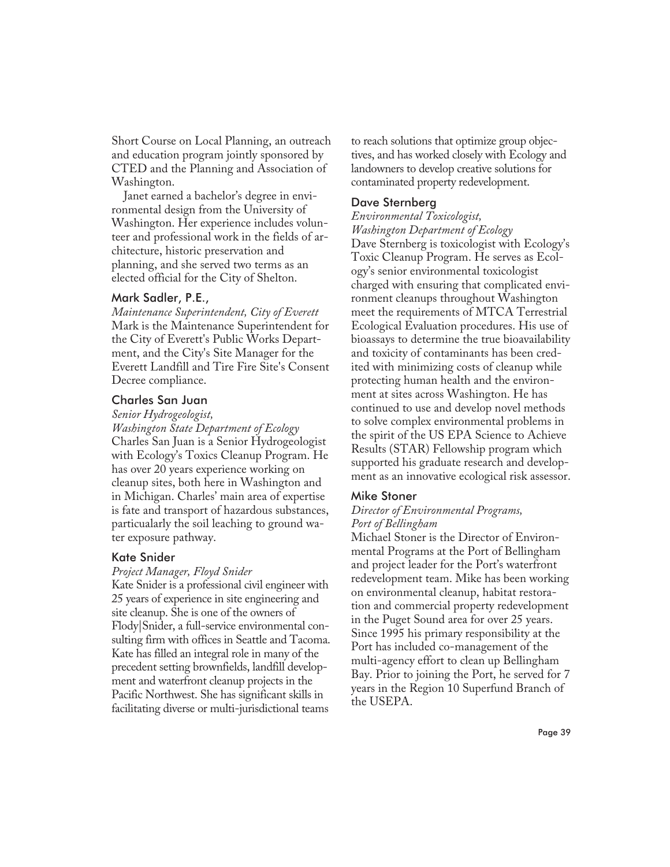Short Course on Local Planning, an outreach and education program jointly sponsored by CTED and the Planning and Association of Washington.

Janet earned a bachelor's degree in environmental design from the University of Washington. Her experience includes volunteer and professional work in the fields of architecture, historic preservation and planning, and she served two terms as an elected official for the City of Shelton.

#### Mark Sadler, P.E.,

*Maintenance Superintendent, City of Everett* Mark is the Maintenance Superintendent for the City of Everett's Public Works Department, and the City's Site Manager for the Everett Landfill and Tire Fire Site's Consent Decree compliance.

#### Charles San Juan

#### *Senior Hydrogeologist,*

*Washington State Department of Ecology* Charles San Juan is a Senior Hydrogeologist with Ecology's Toxics Cleanup Program. He has over 20 years experience working on cleanup sites, both here in Washington and in Michigan. Charles' main area of expertise is fate and transport of hazardous substances, particualarly the soil leaching to ground water exposure pathway.

#### Kate Snider

#### *Project Manager, Floyd Snider*

Kate Snider is a professional civil engineer with 25 years of experience in site engineering and site cleanup. She is one of the owners of Flody|Snider, a full-service environmental consulting firm with offices in Seattle and Tacoma. Kate has filled an integral role in many of the precedent setting brownfields, landfill development and waterfront cleanup projects in the Pacific Northwest. She has significant skills in facilitating diverse or multi-jurisdictional teams

to reach solutions that optimize group objectives, and has worked closely with Ecology and landowners to develop creative solutions for contaminated property redevelopment.

#### Dave Sternberg

*Environmental Toxicologist,*

*Washington Department of Ecology* Dave Sternberg is toxicologist with Ecology's Toxic Cleanup Program. He serves as Ecology's senior environmental toxicologist charged with ensuring that complicated environment cleanups throughout Washington meet the requirements of MTCA Terrestrial Ecological Evaluation procedures. His use of bioassays to determine the true bioavailability and toxicity of contaminants has been credited with minimizing costs of cleanup while protecting human health and the environment at sites across Washington. He has continued to use and develop novel methods to solve complex environmental problems in the spirit of the US EPA Science to Achieve Results (STAR) Fellowship program which supported his graduate research and development as an innovative ecological risk assessor.

#### Mike Stoner

#### *Director of Environmental Programs, Port of Bellingham*

Michael Stoner is the Director of Environmental Programs at the Port of Bellingham and project leader for the Port's waterfront redevelopment team. Mike has been working on environmental cleanup, habitat restoration and commercial property redevelopment in the Puget Sound area for over 25 years. Since 1995 his primary responsibility at the Port has included co-management of the multi-agency effort to clean up Bellingham Bay. Prior to joining the Port, he served for 7 years in the Region 10 Superfund Branch of the USEPA.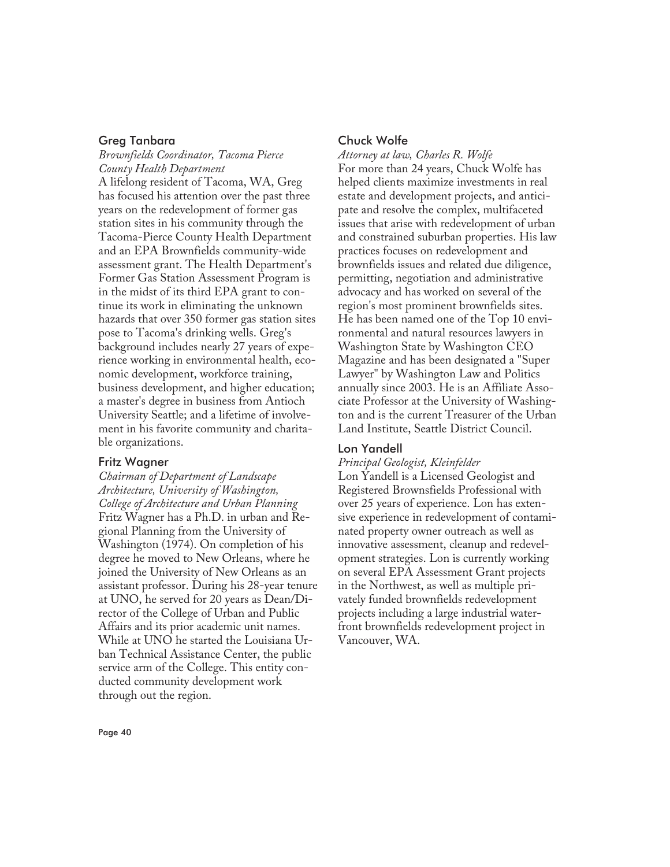#### Greg Tanbara

*Brownfields Coordinator, Tacoma Pierce County Health Department*

A lifelong resident of Tacoma, WA, Greg has focused his attention over the past three years on the redevelopment of former gas station sites in his community through the Tacoma-Pierce County Health Department and an EPA Brownfields community-wide assessment grant. The Health Department's Former Gas Station Assessment Program is in the midst of its third EPA grant to continue its work in eliminating the unknown hazards that over 350 former gas station sites pose to Tacoma's drinking wells. Greg's background includes nearly 27 years of experience working in environmental health, economic development, workforce training, business development, and higher education; a master's degree in business from Antioch University Seattle; and a lifetime of involvement in his favorite community and charitable organizations.

#### Fritz Wagner

*Chairman of Department of Landscape Architecture, University of Washington, College of Architecture and Urban Planning* Fritz Wagner has a Ph.D. in urban and Regional Planning from the University of Washington (1974). On completion of his degree he moved to New Orleans, where he joined the University of New Orleans as an assistant professor. During his 28-year tenure at UNO, he served for 20 years as Dean/Director of the College of Urban and Public Affairs and its prior academic unit names. While at UNO he started the Louisiana Urban Technical Assistance Center, the public service arm of the College. This entity conducted community development work through out the region.

#### Chuck Wolfe

*Attorney at law, Charles R. Wolfe* For more than 24 years, Chuck Wolfe has helped clients maximize investments in real estate and development projects, and anticipate and resolve the complex, multifaceted issues that arise with redevelopment of urban and constrained suburban properties. His law practices focuses on redevelopment and brownfields issues and related due diligence, permitting, negotiation and administrative advocacy and has worked on several of the region's most prominent brownfields sites. He has been named one of the Top 10 environmental and natural resources lawyers in Washington State by Washington CEO Magazine and has been designated a "Super Lawyer" by Washington Law and Politics annually since 2003. He is an Affiliate Associate Professor at the University of Washington and is the current Treasurer of the Urban Land Institute, Seattle District Council.

#### Lon Yandell

#### *Principal Geologist, Kleinfelder*

Lon Yandell is a Licensed Geologist and Registered Brownsfields Professional with over 25 years of experience. Lon has extensive experience in redevelopment of contaminated property owner outreach as well as innovative assessment, cleanup and redevelopment strategies. Lon is currently working on several EPA Assessment Grant projects in the Northwest, as well as multiple privately funded brownfields redevelopment projects including a large industrial waterfront brownfields redevelopment project in Vancouver, WA.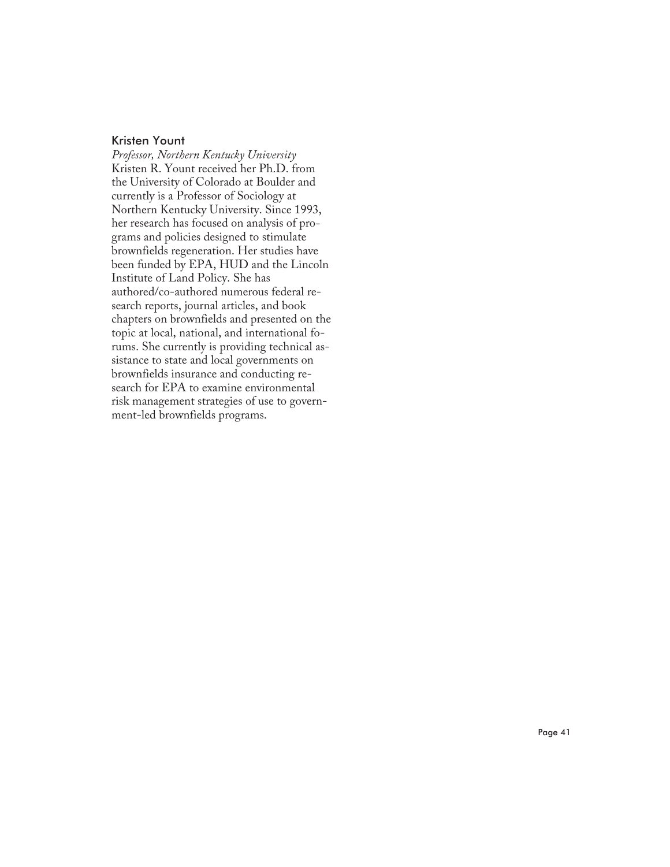#### Kristen Yount

*Professor, Northern Kentucky University* Kristen R. Yount received her Ph.D. from the University of Colorado at Boulder and currently is a Professor of Sociology at Northern Kentucky University. Since 1993, her research has focused on analysis of programs and policies designed to stimulate brownfields regeneration. Her studies have been funded by EPA, HUD and the Lincoln Institute of Land Policy. She has authored/co-authored numerous federal research reports, journal articles, and book chapters on brownfields and presented on the topic at local, national, and international forums. She currently is providing technical assistance to state and local governments on brownfields insurance and conducting research for EPA to examine environmental risk management strategies of use to government-led brownfields programs.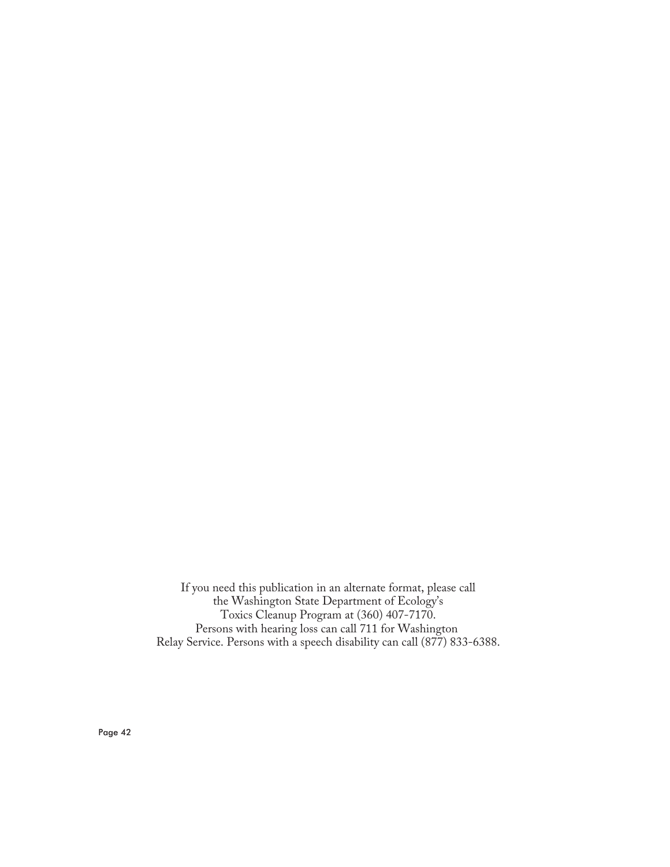If you need this publication in an alternate format, please call the Washington State Department of Ecology's Toxics Cleanup Program at (360) 407-7170. Persons with hearing loss can call 711 for Washington Relay Service. Persons with a speech disability can call (877) 833-6388.